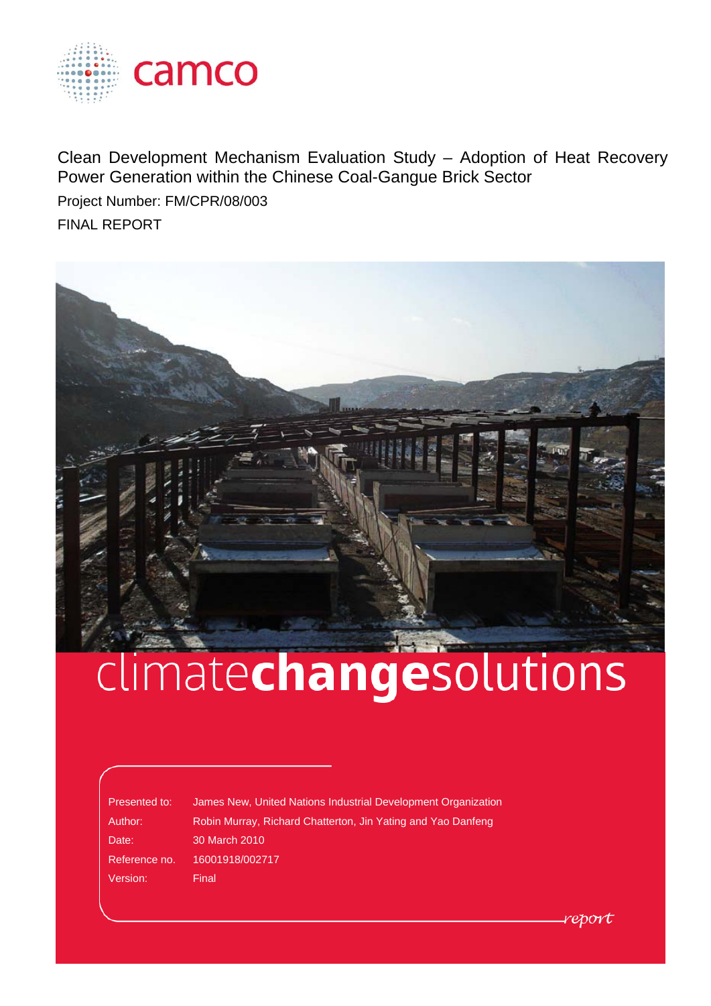

Clean Development Mechanism Evaluation Study – Adoption of Heat Recovery Power Generation within the Chinese Coal-Gangue Brick Sector Project Number: FM/CPR/08/003

FINAL REPORT



# climatechangesolutions

Version: Final

Presented to: James New, United Nations Industrial Development Organization Author: Robin Murray, Richard Chatterton, Jin Yating and Yao Danfeng Date: 30 March 2010 Reference no. 16001918/002717

report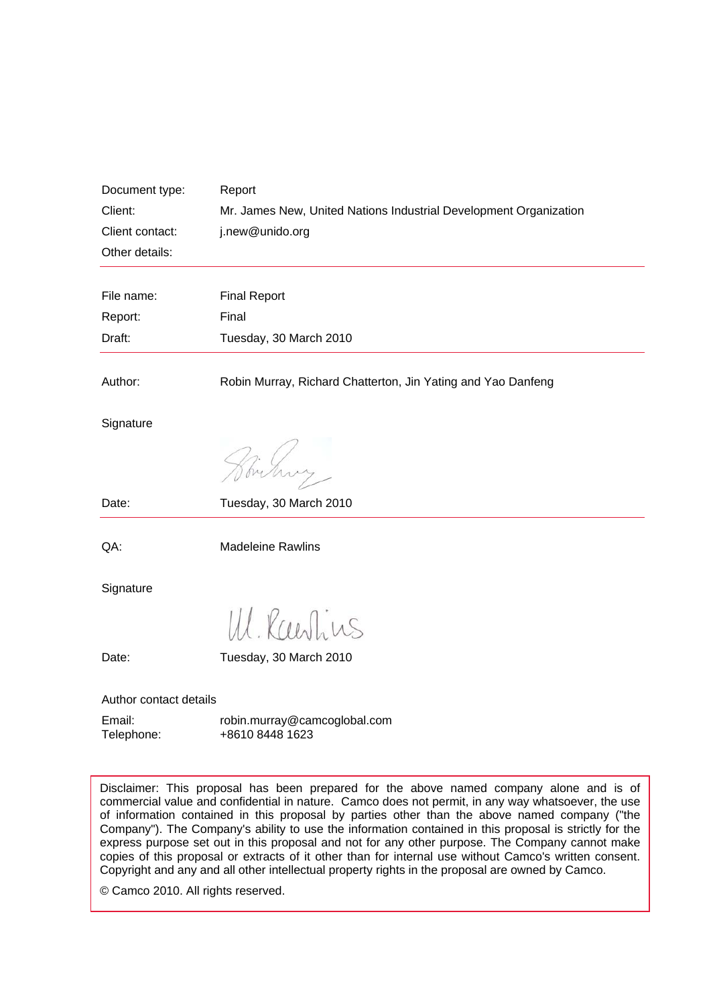| Document type:<br>Client:<br>Client contact:<br>Other details: | Report<br>Mr. James New, United Nations Industrial Development Organization<br>j.new@unido.org |
|----------------------------------------------------------------|------------------------------------------------------------------------------------------------|
| File name:                                                     | <b>Final Report</b>                                                                            |
| Report:                                                        | Final                                                                                          |
| Draft:                                                         | Tuesday, 30 March 2010                                                                         |
| Author:                                                        | Robin Murray, Richard Chatterton, Jin Yating and Yao Danfeng                                   |
| Signature                                                      |                                                                                                |
|                                                                | mitung.                                                                                        |
| Date:                                                          | Tuesday, 30 March 2010                                                                         |
| QA:                                                            | <b>Madeleine Rawlins</b>                                                                       |
| Signature                                                      |                                                                                                |
|                                                                | Ul. Rawlins                                                                                    |
| Date:                                                          | Tuesday, 30 March 2010                                                                         |
| Author contact details<br>Email:<br>Telephone:                 | robin.murray@camcoglobal.com<br>+8610 8448 1623                                                |

Disclaimer: This proposal has been prepared for the above named company alone and is of commercial value and confidential in nature. Camco does not permit, in any way whatsoever, the use of information contained in this proposal by parties other than the above named company ("the Company"). The Company's ability to use the information contained in this proposal is strictly for the express purpose set out in this proposal and not for any other purpose. The Company cannot make copies of this proposal or extracts of it other than for internal use without Camco's written consent. Copyright and any and all other intellectual property rights in the proposal are owned by Camco.

© Camco 2010. All rights reserved.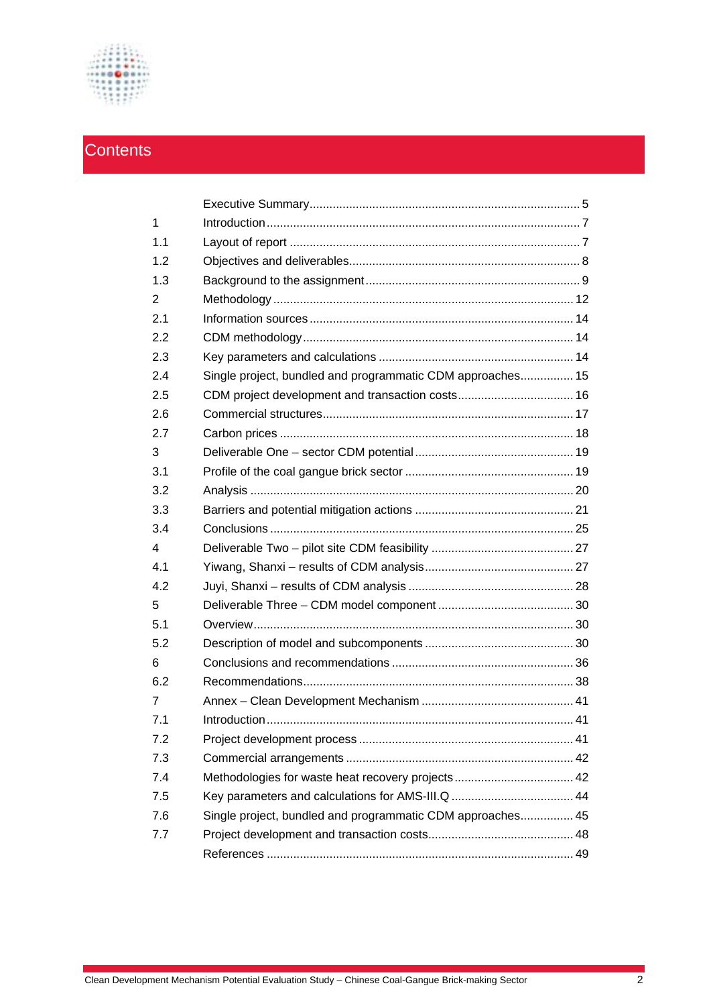

# **Contents**

| $\mathbf{1}$   |                                                            |  |
|----------------|------------------------------------------------------------|--|
| 1.1            |                                                            |  |
| 1.2            |                                                            |  |
| 1.3            |                                                            |  |
| $\overline{2}$ |                                                            |  |
| 2.1            |                                                            |  |
| 2.2            |                                                            |  |
| 2.3            |                                                            |  |
| 2.4            | Single project, bundled and programmatic CDM approaches 15 |  |
| 2.5            |                                                            |  |
| 2.6            |                                                            |  |
| 2.7            |                                                            |  |
| 3              |                                                            |  |
| 3.1            |                                                            |  |
| 3.2            |                                                            |  |
| 3.3            |                                                            |  |
| 3.4            |                                                            |  |
| 4              |                                                            |  |
| 4.1            |                                                            |  |
| 4.2            |                                                            |  |
| 5              |                                                            |  |
| 5.1            |                                                            |  |
| 5.2            |                                                            |  |
| 6              |                                                            |  |
| 6.2            |                                                            |  |
| 7              |                                                            |  |
| 7.1            |                                                            |  |
| 7.2            |                                                            |  |
| 7.3            |                                                            |  |
| 7.4            | Methodologies for waste heat recovery projects 42          |  |
| 7.5            |                                                            |  |
| 7.6            | Single project, bundled and programmatic CDM approaches 45 |  |
| 7.7            |                                                            |  |
|                |                                                            |  |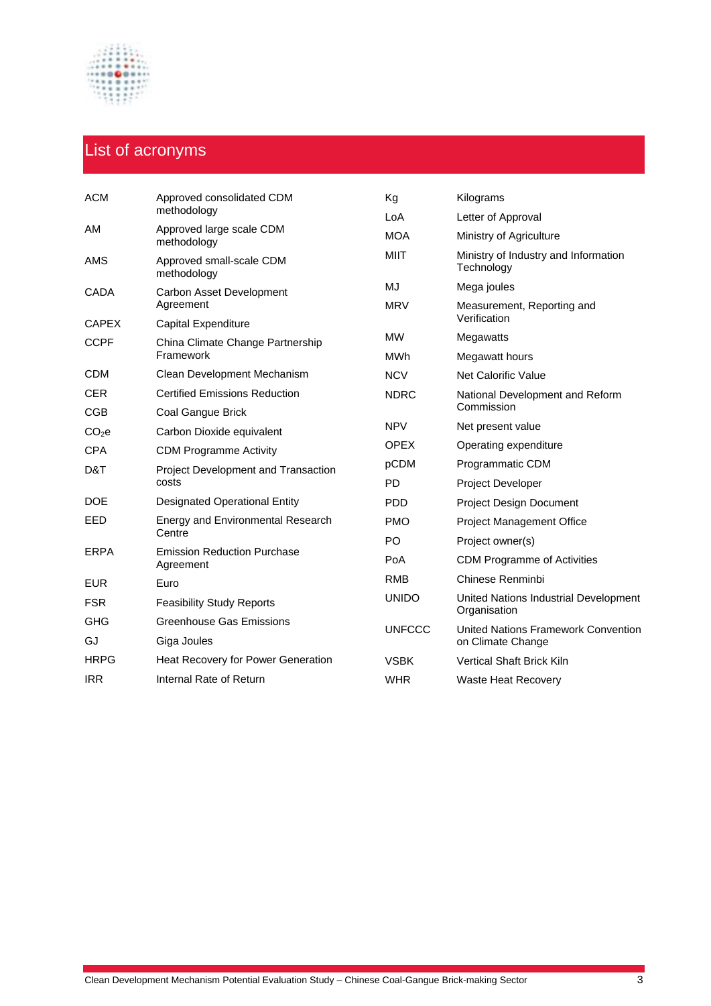

# List of acronyms

| <b>ACM</b>        | Approved consolidated CDM                       | Kg            | Kilograms                                             |
|-------------------|-------------------------------------------------|---------------|-------------------------------------------------------|
|                   | methodology                                     | LoA           | Letter of Approval                                    |
| AM                | Approved large scale CDM<br>methodology         | <b>MOA</b>    | Ministry of Agriculture                               |
| AMS               | Approved small-scale CDM<br>methodology         | <b>MIIT</b>   | Ministry of Industry and Information<br>Technology    |
| <b>CADA</b>       | Carbon Asset Development                        | MJ            | Mega joules                                           |
|                   | Agreement                                       | <b>MRV</b>    | Measurement, Reporting and                            |
| <b>CAPEX</b>      | Capital Expenditure                             |               | Verification                                          |
| <b>CCPF</b>       | China Climate Change Partnership                | <b>MW</b>     | Megawatts                                             |
|                   | Framework                                       | MWh           | Megawatt hours                                        |
| <b>CDM</b>        | Clean Development Mechanism                     | <b>NCV</b>    | Net Calorific Value                                   |
| <b>CER</b>        | <b>Certified Emissions Reduction</b>            | <b>NDRC</b>   | National Development and Reform                       |
| <b>CGB</b>        | Coal Gangue Brick                               |               | Commission                                            |
| CO <sub>2</sub> e | Carbon Dioxide equivalent                       | <b>NPV</b>    | Net present value                                     |
| <b>CPA</b>        | <b>CDM Programme Activity</b>                   | <b>OPEX</b>   | Operating expenditure                                 |
| D&T               | Project Development and Transaction             | pCDM          | Programmatic CDM                                      |
|                   | costs                                           | <b>PD</b>     | <b>Project Developer</b>                              |
| DOE               | <b>Designated Operational Entity</b>            | PDD           | <b>Project Design Document</b>                        |
| EED               | Energy and Environmental Research               | <b>PMO</b>    | <b>Project Management Office</b>                      |
|                   | Centre                                          | PO            | Project owner(s)                                      |
| <b>ERPA</b>       | <b>Emission Reduction Purchase</b><br>Agreement | PoA           | <b>CDM Programme of Activities</b>                    |
| <b>EUR</b>        | Euro                                            | <b>RMB</b>    | Chinese Renminbi                                      |
| <b>FSR</b>        | <b>Feasibility Study Reports</b>                | <b>UNIDO</b>  | United Nations Industrial Development<br>Organisation |
| <b>GHG</b>        | <b>Greenhouse Gas Emissions</b>                 | <b>UNFCCC</b> | <b>United Nations Framework Convention</b>            |
| GJ                | Giga Joules                                     |               | on Climate Change                                     |
| <b>HRPG</b>       | Heat Recovery for Power Generation              | <b>VSBK</b>   | <b>Vertical Shaft Brick Kiln</b>                      |
| <b>IRR</b>        | Internal Rate of Return                         | <b>WHR</b>    | <b>Waste Heat Recovery</b>                            |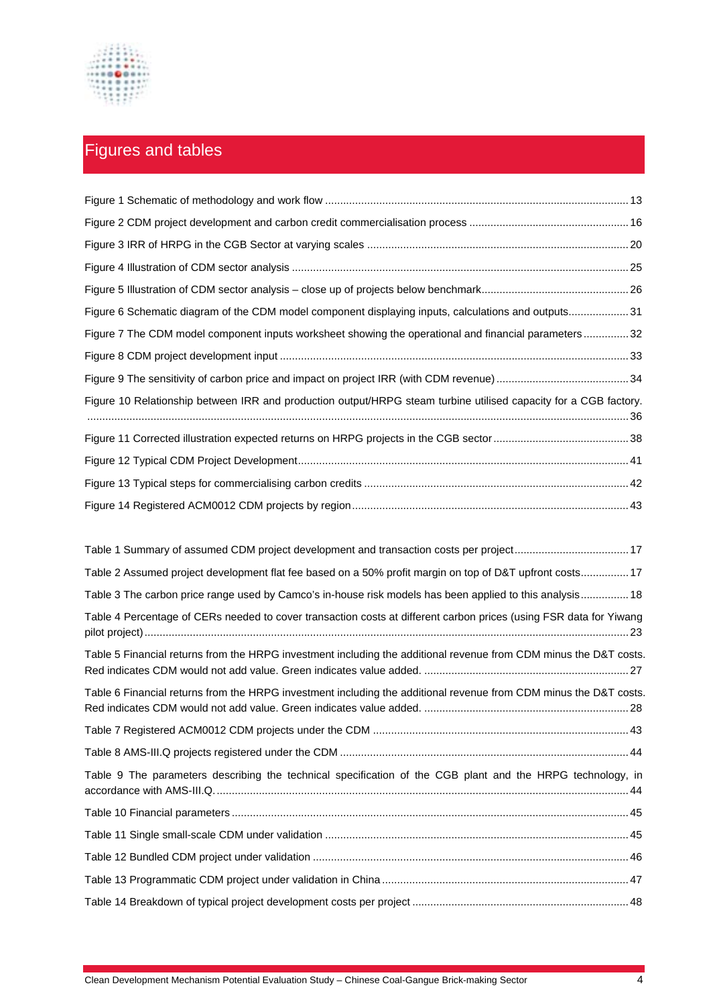

# Figures and tables

| Figure 6 Schematic diagram of the CDM model component displaying inputs, calculations and outputs31              |  |
|------------------------------------------------------------------------------------------------------------------|--|
| Figure 7 The CDM model component inputs worksheet showing the operational and financial parameters32             |  |
|                                                                                                                  |  |
|                                                                                                                  |  |
| Figure 10 Relationship between IRR and production output/HRPG steam turbine utilised capacity for a CGB factory. |  |
|                                                                                                                  |  |
|                                                                                                                  |  |
|                                                                                                                  |  |
|                                                                                                                  |  |

| Table 1 Summary of assumed CDM project development and transaction costs per project 17                            |
|--------------------------------------------------------------------------------------------------------------------|
| Table 2 Assumed project development flat fee based on a 50% profit margin on top of D&T upfront costs 17           |
| Table 3 The carbon price range used by Camco's in-house risk models has been applied to this analysis 18           |
| Table 4 Percentage of CERs needed to cover transaction costs at different carbon prices (using FSR data for Yiwang |
| Table 5 Financial returns from the HRPG investment including the additional revenue from CDM minus the D&T costs.  |
| Table 6 Financial returns from the HRPG investment including the additional revenue from CDM minus the D&T costs.  |
|                                                                                                                    |
|                                                                                                                    |
| Table 9 The parameters describing the technical specification of the CGB plant and the HRPG technology, in         |
|                                                                                                                    |
|                                                                                                                    |
|                                                                                                                    |
|                                                                                                                    |
|                                                                                                                    |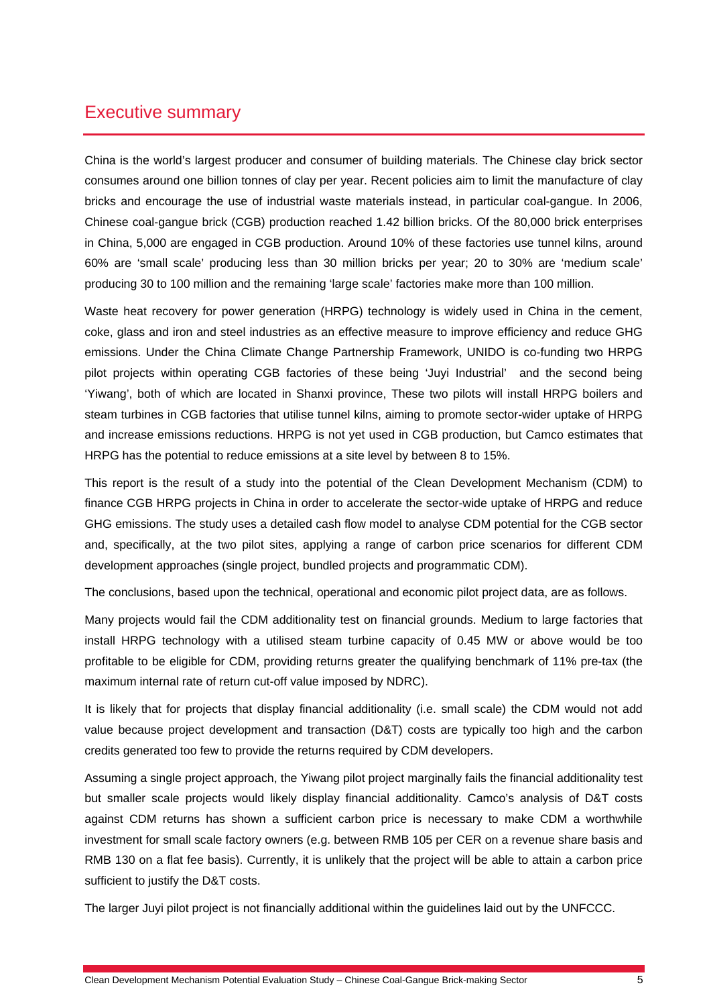# Executive summary

China is the world's largest producer and consumer of building materials. The Chinese clay brick sector consumes around one billion tonnes of clay per year. Recent policies aim to limit the manufacture of clay bricks and encourage the use of industrial waste materials instead, in particular coal-gangue. In 2006, Chinese coal-gangue brick (CGB) production reached 1.42 billion bricks. Of the 80,000 brick enterprises in China, 5,000 are engaged in CGB production. Around 10% of these factories use tunnel kilns, around 60% are 'small scale' producing less than 30 million bricks per year; 20 to 30% are 'medium scale' producing 30 to 100 million and the remaining 'large scale' factories make more than 100 million.

Waste heat recovery for power generation (HRPG) technology is widely used in China in the cement, coke, glass and iron and steel industries as an effective measure to improve efficiency and reduce GHG emissions. Under the China Climate Change Partnership Framework, UNIDO is co-funding two HRPG pilot projects within operating CGB factories of these being 'Juyi Industrial' and the second being 'Yiwang', both of which are located in Shanxi province, These two pilots will install HRPG boilers and steam turbines in CGB factories that utilise tunnel kilns, aiming to promote sector-wider uptake of HRPG and increase emissions reductions. HRPG is not yet used in CGB production, but Camco estimates that HRPG has the potential to reduce emissions at a site level by between 8 to 15%.

This report is the result of a study into the potential of the Clean Development Mechanism (CDM) to finance CGB HRPG projects in China in order to accelerate the sector-wide uptake of HRPG and reduce GHG emissions. The study uses a detailed cash flow model to analyse CDM potential for the CGB sector and, specifically, at the two pilot sites, applying a range of carbon price scenarios for different CDM development approaches (single project, bundled projects and programmatic CDM).

The conclusions, based upon the technical, operational and economic pilot project data, are as follows.

Many projects would fail the CDM additionality test on financial grounds. Medium to large factories that install HRPG technology with a utilised steam turbine capacity of 0.45 MW or above would be too profitable to be eligible for CDM, providing returns greater the qualifying benchmark of 11% pre-tax (the maximum internal rate of return cut-off value imposed by NDRC).

It is likely that for projects that display financial additionality (i.e. small scale) the CDM would not add value because project development and transaction (D&T) costs are typically too high and the carbon credits generated too few to provide the returns required by CDM developers.

Assuming a single project approach, the Yiwang pilot project marginally fails the financial additionality test but smaller scale projects would likely display financial additionality. Camco's analysis of D&T costs against CDM returns has shown a sufficient carbon price is necessary to make CDM a worthwhile investment for small scale factory owners (e.g. between RMB 105 per CER on a revenue share basis and RMB 130 on a flat fee basis). Currently, it is unlikely that the project will be able to attain a carbon price sufficient to justify the D&T costs.

The larger Juyi pilot project is not financially additional within the guidelines laid out by the UNFCCC.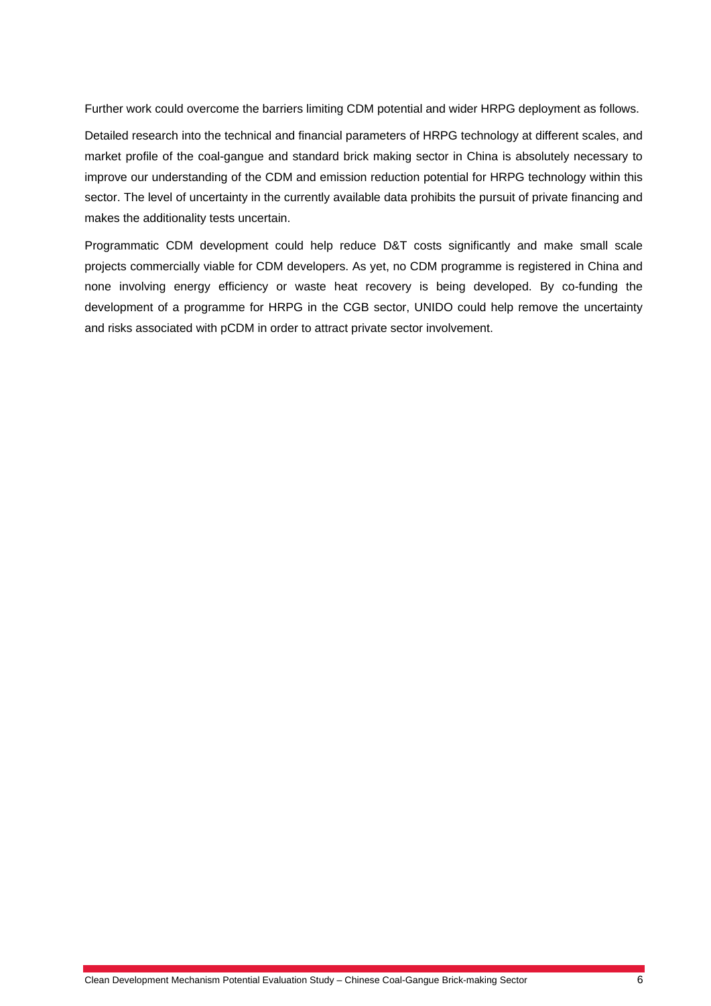Further work could overcome the barriers limiting CDM potential and wider HRPG deployment as follows.

Detailed research into the technical and financial parameters of HRPG technology at different scales, and market profile of the coal-gangue and standard brick making sector in China is absolutely necessary to improve our understanding of the CDM and emission reduction potential for HRPG technology within this sector. The level of uncertainty in the currently available data prohibits the pursuit of private financing and makes the additionality tests uncertain.

Programmatic CDM development could help reduce D&T costs significantly and make small scale projects commercially viable for CDM developers. As yet, no CDM programme is registered in China and none involving energy efficiency or waste heat recovery is being developed. By co-funding the development of a programme for HRPG in the CGB sector, UNIDO could help remove the uncertainty and risks associated with pCDM in order to attract private sector involvement.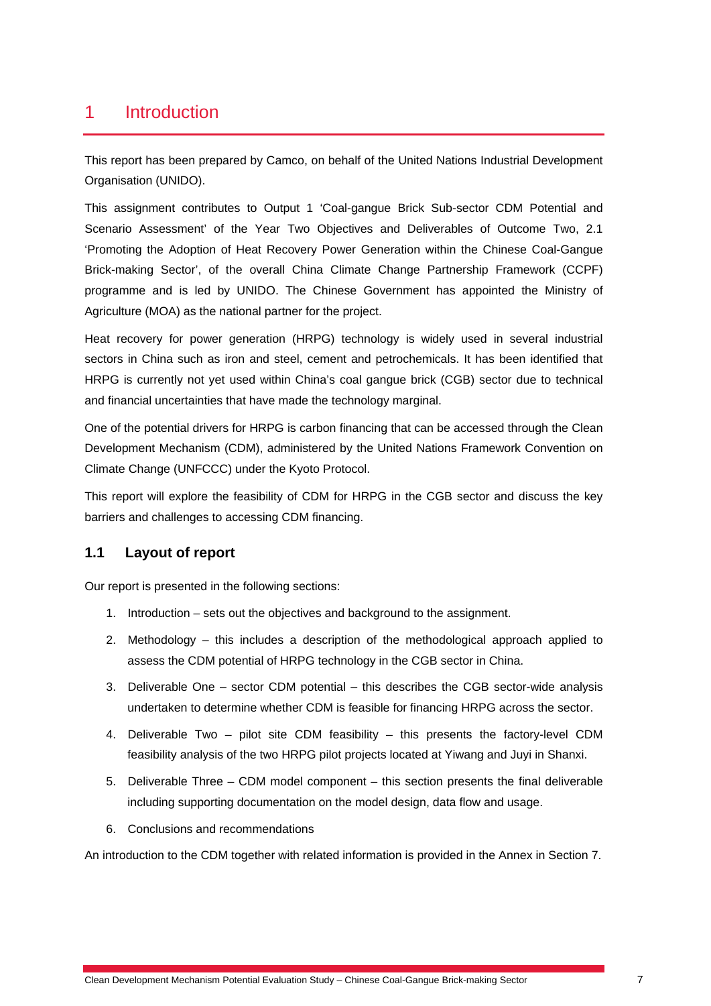# 1 Introduction

This report has been prepared by Camco, on behalf of the United Nations Industrial Development Organisation (UNIDO).

This assignment contributes to Output 1 'Coal-gangue Brick Sub-sector CDM Potential and Scenario Assessment' of the Year Two Objectives and Deliverables of Outcome Two, 2.1 'Promoting the Adoption of Heat Recovery Power Generation within the Chinese Coal-Gangue Brick-making Sector', of the overall China Climate Change Partnership Framework (CCPF) programme and is led by UNIDO. The Chinese Government has appointed the Ministry of Agriculture (MOA) as the national partner for the project.

Heat recovery for power generation (HRPG) technology is widely used in several industrial sectors in China such as iron and steel, cement and petrochemicals. It has been identified that HRPG is currently not yet used within China's coal gangue brick (CGB) sector due to technical and financial uncertainties that have made the technology marginal.

One of the potential drivers for HRPG is carbon financing that can be accessed through the Clean Development Mechanism (CDM), administered by the United Nations Framework Convention on Climate Change (UNFCCC) under the Kyoto Protocol.

This report will explore the feasibility of CDM for HRPG in the CGB sector and discuss the key barriers and challenges to accessing CDM financing.

#### **1.1 Layout of report**

Our report is presented in the following sections:

- 1. Introduction sets out the objectives and background to the assignment.
- 2. Methodology this includes a description of the methodological approach applied to assess the CDM potential of HRPG technology in the CGB sector in China.
- 3. Deliverable One sector CDM potential this describes the CGB sector-wide analysis undertaken to determine whether CDM is feasible for financing HRPG across the sector.
- 4. Deliverable Two pilot site CDM feasibility this presents the factory-level CDM feasibility analysis of the two HRPG pilot projects located at Yiwang and Juyi in Shanxi.
- 5. Deliverable Three CDM model component this section presents the final deliverable including supporting documentation on the model design, data flow and usage.
- 6. Conclusions and recommendations

An introduction to the CDM together with related information is provided in the Annex in Section 7.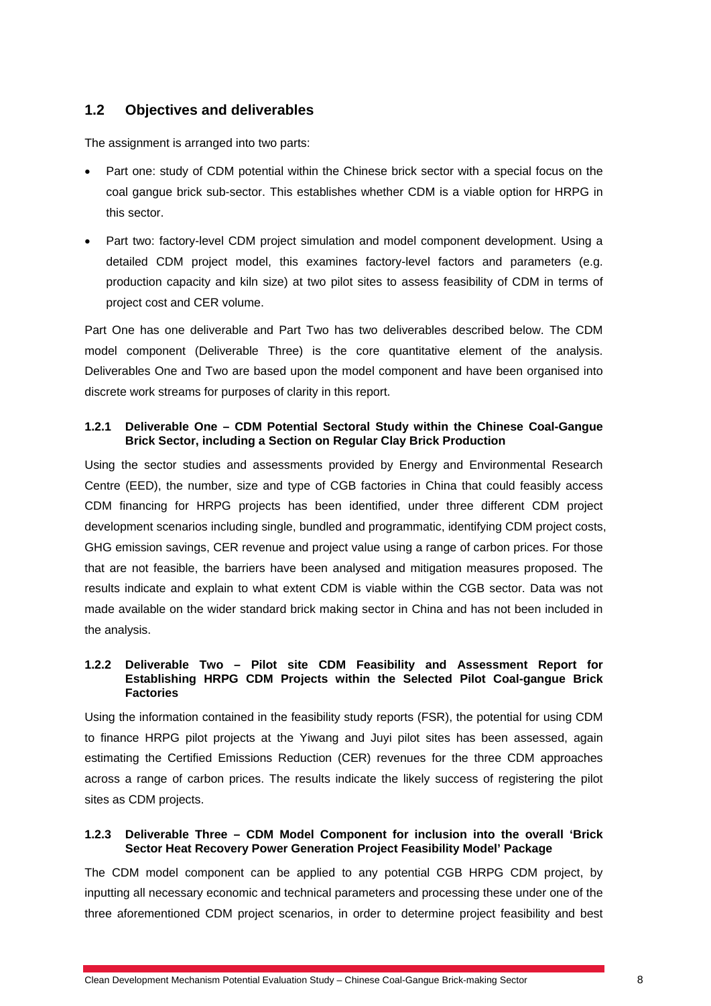### **1.2 Objectives and deliverables**

The assignment is arranged into two parts:

- Part one: study of CDM potential within the Chinese brick sector with a special focus on the coal gangue brick sub-sector. This establishes whether CDM is a viable option for HRPG in this sector.
- Part two: factory-level CDM project simulation and model component development. Using a detailed CDM project model, this examines factory-level factors and parameters (e.g. production capacity and kiln size) at two pilot sites to assess feasibility of CDM in terms of project cost and CER volume.

Part One has one deliverable and Part Two has two deliverables described below. The CDM model component (Deliverable Three) is the core quantitative element of the analysis. Deliverables One and Two are based upon the model component and have been organised into discrete work streams for purposes of clarity in this report.

#### **1.2.1 Deliverable One – CDM Potential Sectoral Study within the Chinese Coal-Gangue Brick Sector, including a Section on Regular Clay Brick Production**

Using the sector studies and assessments provided by Energy and Environmental Research Centre (EED), the number, size and type of CGB factories in China that could feasibly access CDM financing for HRPG projects has been identified, under three different CDM project development scenarios including single, bundled and programmatic, identifying CDM project costs, GHG emission savings, CER revenue and project value using a range of carbon prices. For those that are not feasible, the barriers have been analysed and mitigation measures proposed. The results indicate and explain to what extent CDM is viable within the CGB sector. Data was not made available on the wider standard brick making sector in China and has not been included in the analysis.

#### **1.2.2 Deliverable Two – Pilot site CDM Feasibility and Assessment Report for Establishing HRPG CDM Projects within the Selected Pilot Coal-gangue Brick Factories**

Using the information contained in the feasibility study reports (FSR), the potential for using CDM to finance HRPG pilot projects at the Yiwang and Juyi pilot sites has been assessed, again estimating the Certified Emissions Reduction (CER) revenues for the three CDM approaches across a range of carbon prices. The results indicate the likely success of registering the pilot sites as CDM projects.

#### **1.2.3 Deliverable Three – CDM Model Component for inclusion into the overall 'Brick Sector Heat Recovery Power Generation Project Feasibility Model' Package**

The CDM model component can be applied to any potential CGB HRPG CDM project, by inputting all necessary economic and technical parameters and processing these under one of the three aforementioned CDM project scenarios, in order to determine project feasibility and best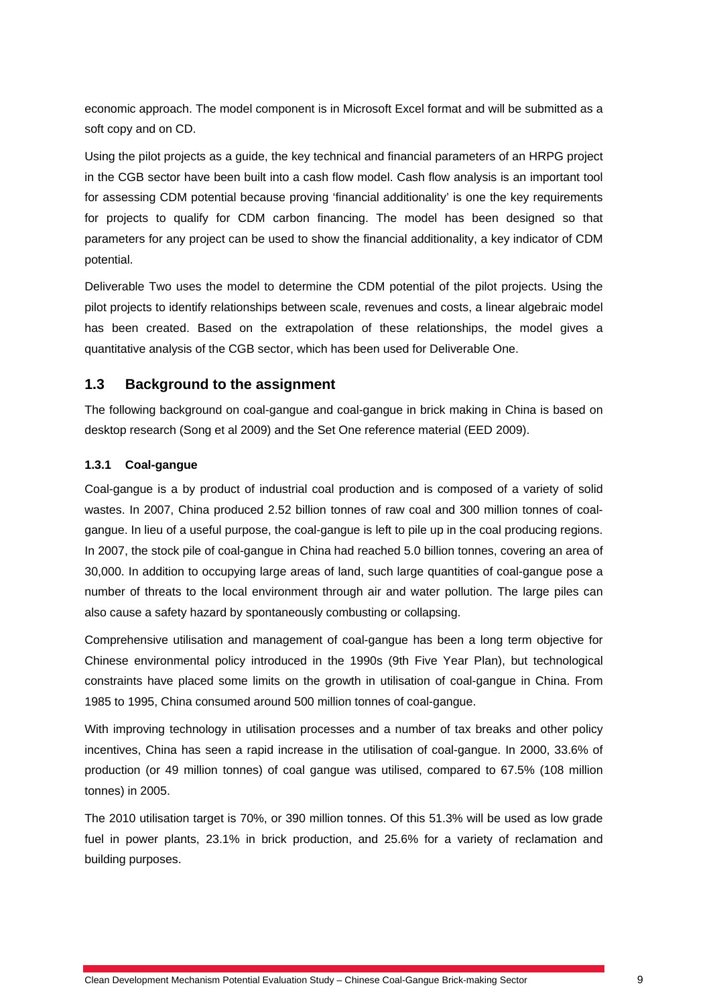economic approach. The model component is in Microsoft Excel format and will be submitted as a soft copy and on CD.

Using the pilot projects as a guide, the key technical and financial parameters of an HRPG project in the CGB sector have been built into a cash flow model. Cash flow analysis is an important tool for assessing CDM potential because proving 'financial additionality' is one the key requirements for projects to qualify for CDM carbon financing. The model has been designed so that parameters for any project can be used to show the financial additionality, a key indicator of CDM potential.

Deliverable Two uses the model to determine the CDM potential of the pilot projects. Using the pilot projects to identify relationships between scale, revenues and costs, a linear algebraic model has been created. Based on the extrapolation of these relationships, the model gives a quantitative analysis of the CGB sector, which has been used for Deliverable One.

### **1.3 Background to the assignment**

The following background on coal-gangue and coal-gangue in brick making in China is based on desktop research (Song et al 2009) and the Set One reference material (EED 2009).

#### **1.3.1 Coal-gangue**

Coal-gangue is a by product of industrial coal production and is composed of a variety of solid wastes. In 2007, China produced 2.52 billion tonnes of raw coal and 300 million tonnes of coalgangue. In lieu of a useful purpose, the coal-gangue is left to pile up in the coal producing regions. In 2007, the stock pile of coal-gangue in China had reached 5.0 billion tonnes, covering an area of 30,000. In addition to occupying large areas of land, such large quantities of coal-gangue pose a number of threats to the local environment through air and water pollution. The large piles can also cause a safety hazard by spontaneously combusting or collapsing.

Comprehensive utilisation and management of coal-gangue has been a long term objective for Chinese environmental policy introduced in the 1990s (9th Five Year Plan), but technological constraints have placed some limits on the growth in utilisation of coal-gangue in China. From 1985 to 1995, China consumed around 500 million tonnes of coal-gangue.

With improving technology in utilisation processes and a number of tax breaks and other policy incentives, China has seen a rapid increase in the utilisation of coal-gangue. In 2000, 33.6% of production (or 49 million tonnes) of coal gangue was utilised, compared to 67.5% (108 million tonnes) in 2005.

The 2010 utilisation target is 70%, or 390 million tonnes. Of this 51.3% will be used as low grade fuel in power plants, 23.1% in brick production, and 25.6% for a variety of reclamation and building purposes.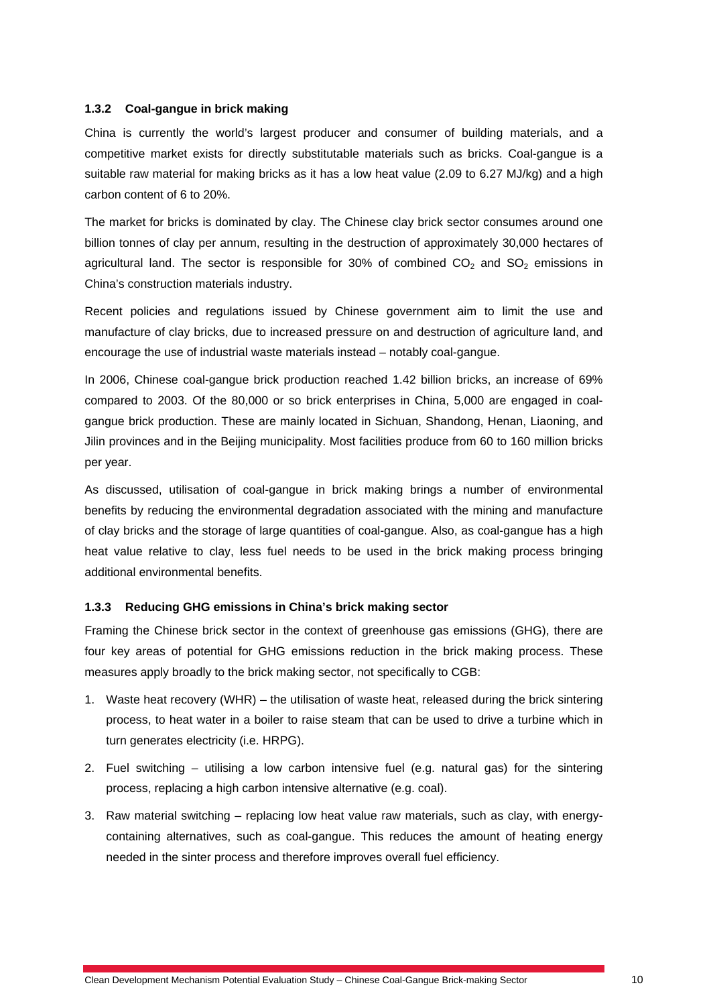#### **1.3.2 Coal-gangue in brick making**

China is currently the world's largest producer and consumer of building materials, and a competitive market exists for directly substitutable materials such as bricks. Coal-gangue is a suitable raw material for making bricks as it has a low heat value (2.09 to 6.27 MJ/kg) and a high carbon content of 6 to 20%.

The market for bricks is dominated by clay. The Chinese clay brick sector consumes around one billion tonnes of clay per annum, resulting in the destruction of approximately 30,000 hectares of agricultural land. The sector is responsible for 30% of combined  $CO<sub>2</sub>$  and  $SO<sub>2</sub>$  emissions in China's construction materials industry.

Recent policies and regulations issued by Chinese government aim to limit the use and manufacture of clay bricks, due to increased pressure on and destruction of agriculture land, and encourage the use of industrial waste materials instead – notably coal-gangue.

In 2006, Chinese coal-gangue brick production reached 1.42 billion bricks, an increase of 69% compared to 2003. Of the 80,000 or so brick enterprises in China, 5,000 are engaged in coalgangue brick production. These are mainly located in Sichuan, Shandong, Henan, Liaoning, and Jilin provinces and in the Beijing municipality. Most facilities produce from 60 to 160 million bricks per year.

As discussed, utilisation of coal-gangue in brick making brings a number of environmental benefits by reducing the environmental degradation associated with the mining and manufacture of clay bricks and the storage of large quantities of coal-gangue. Also, as coal-gangue has a high heat value relative to clay, less fuel needs to be used in the brick making process bringing additional environmental benefits.

#### **1.3.3 Reducing GHG emissions in China's brick making sector**

Framing the Chinese brick sector in the context of greenhouse gas emissions (GHG), there are four key areas of potential for GHG emissions reduction in the brick making process. These measures apply broadly to the brick making sector, not specifically to CGB:

- 1. Waste heat recovery (WHR) the utilisation of waste heat, released during the brick sintering process, to heat water in a boiler to raise steam that can be used to drive a turbine which in turn generates electricity (i.e. HRPG).
- 2. Fuel switching utilising a low carbon intensive fuel (e.g. natural gas) for the sintering process, replacing a high carbon intensive alternative (e.g. coal).
- 3. Raw material switching replacing low heat value raw materials, such as clay, with energycontaining alternatives, such as coal-gangue. This reduces the amount of heating energy needed in the sinter process and therefore improves overall fuel efficiency.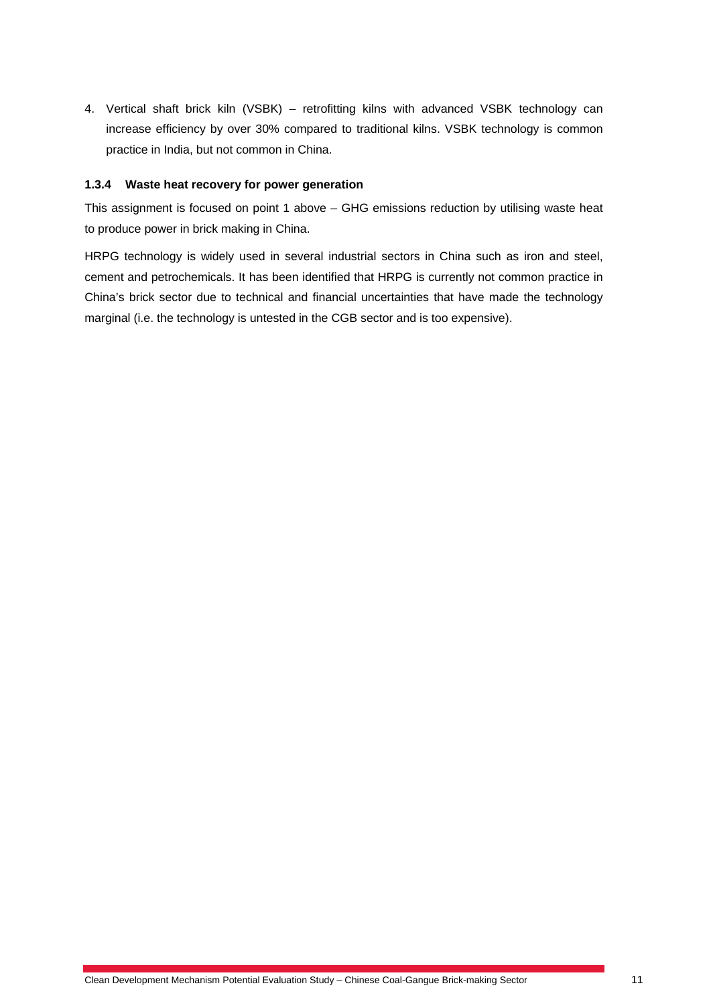4. Vertical shaft brick kiln (VSBK) – retrofitting kilns with advanced VSBK technology can increase efficiency by over 30% compared to traditional kilns. VSBK technology is common practice in India, but not common in China.

#### **1.3.4 Waste heat recovery for power generation**

This assignment is focused on point 1 above – GHG emissions reduction by utilising waste heat to produce power in brick making in China.

HRPG technology is widely used in several industrial sectors in China such as iron and steel, cement and petrochemicals. It has been identified that HRPG is currently not common practice in China's brick sector due to technical and financial uncertainties that have made the technology marginal (i.e. the technology is untested in the CGB sector and is too expensive).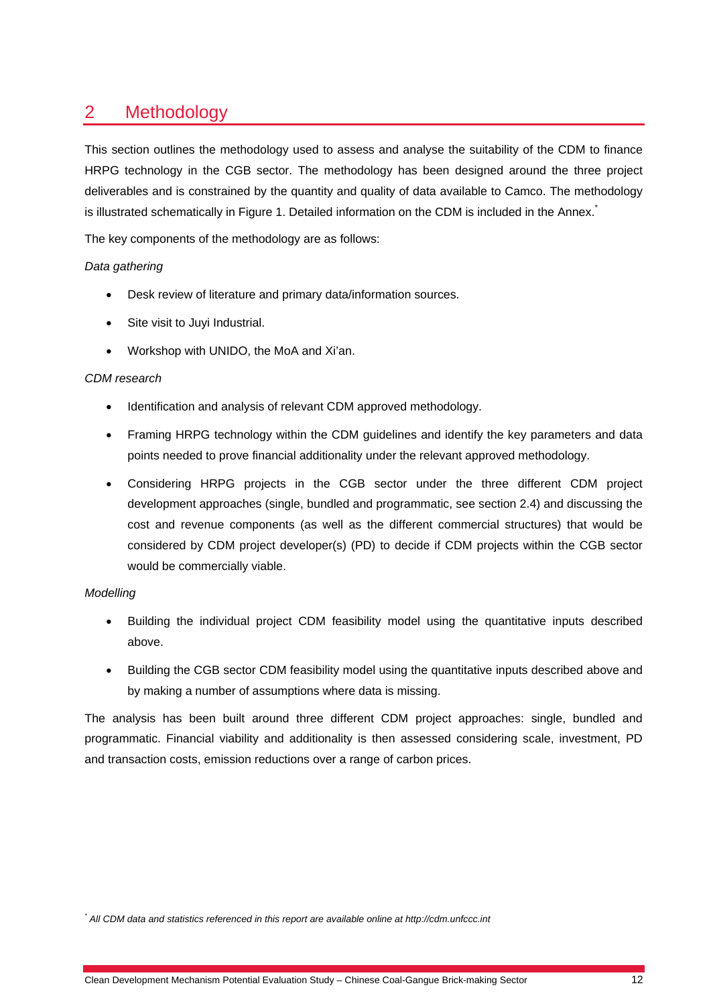# 2 Methodology

This section outlines the methodology used to assess and analyse the suitability of the CDM to finance HRPG technology in the CGB sector. The methodology has been designed around the three project deliverables and is constrained by the quantity and quality of data available to Camco. The methodology is illustrated schematically in Figure 1. Detailed information on the CDM is included in the Annex.<sup>\*</sup>

The key components of the methodology are as follows:

#### *Data gathering*

- Desk review of literature and primary data/information sources.
- Site visit to Juyi Industrial.
- Workshop with UNIDO, the MoA and Xi'an.

#### *CDM research*

- Identification and analysis of relevant CDM approved methodology.
- Framing HRPG technology within the CDM guidelines and identify the key parameters and data points needed to prove financial additionality under the relevant approved methodology.
- Considering HRPG projects in the CGB sector under the three different CDM project development approaches (single, bundled and programmatic, see section 2.4) and discussing the cost and revenue components (as well as the different commercial structures) that would be considered by CDM project developer(s) (PD) to decide if CDM projects within the CGB sector would be commercially viable.

#### *Modelling*

- Building the individual project CDM feasibility model using the quantitative inputs described above.
- Building the CGB sector CDM feasibility model using the quantitative inputs described above and by making a number of assumptions where data is missing.

The analysis has been built around three different CDM project approaches: single, bundled and programmatic. Financial viability and additionality is then assessed considering scale, investment, PD and transaction costs, emission reductions over a range of carbon prices.

<sup>\*</sup> All CDM data and statistics referenced in this report are available online at http://cdm.unfccc.int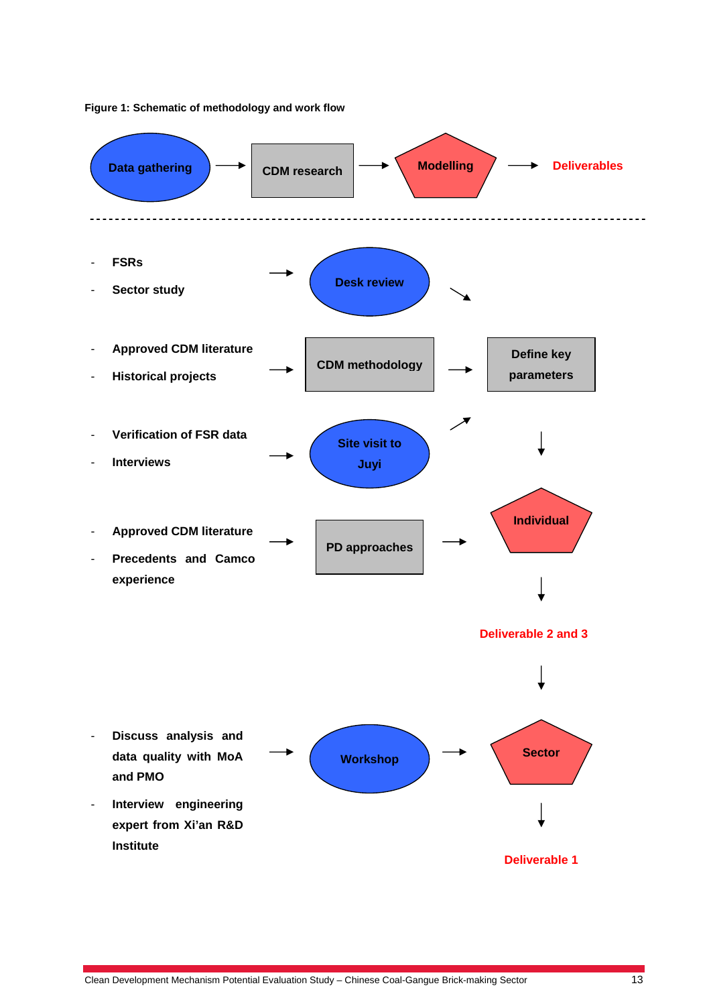

#### **Figure 1: Schematic of methodology and work flow**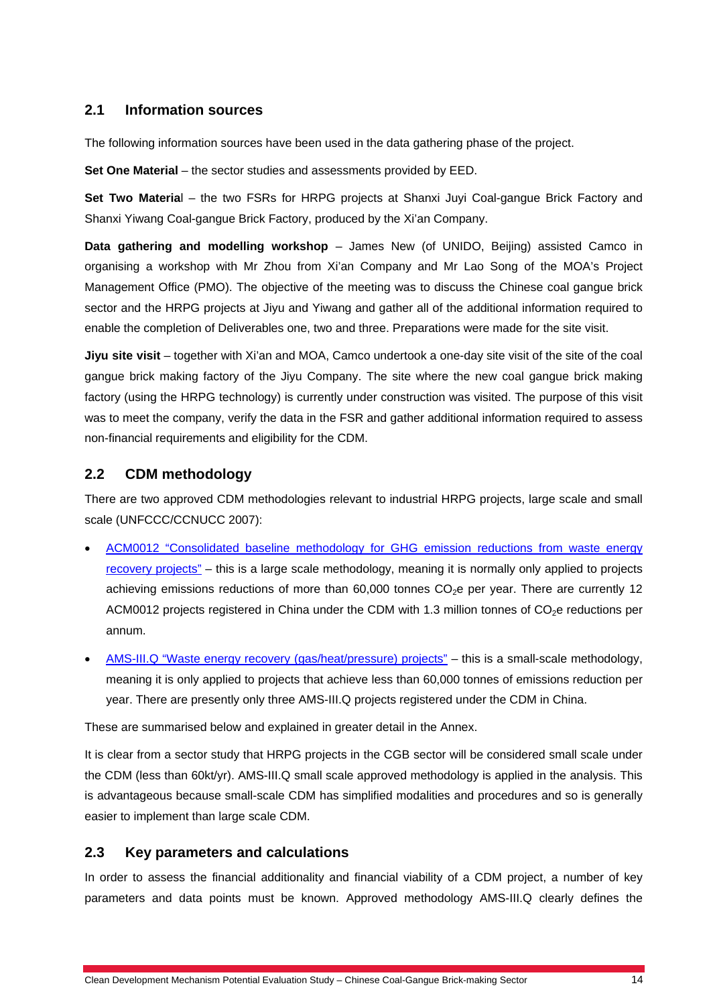#### **2.1 Information sources**

The following information sources have been used in the data gathering phase of the project.

**Set One Material** – the sector studies and assessments provided by EED.

**Set Two Materia**l – the two FSRs for HRPG projects at Shanxi Juyi Coal-gangue Brick Factory and Shanxi Yiwang Coal-gangue Brick Factory, produced by the Xi'an Company.

**Data gathering and modelling workshop** – James New (of UNIDO, Beijing) assisted Camco in organising a workshop with Mr Zhou from Xi'an Company and Mr Lao Song of the MOA's Project Management Office (PMO). The objective of the meeting was to discuss the Chinese coal gangue brick sector and the HRPG projects at Jiyu and Yiwang and gather all of the additional information required to enable the completion of Deliverables one, two and three. Preparations were made for the site visit.

**Jiyu site visit** – together with Xi'an and MOA, Camco undertook a one-day site visit of the site of the coal gangue brick making factory of the Jiyu Company. The site where the new coal gangue brick making factory (using the HRPG technology) is currently under construction was visited. The purpose of this visit was to meet the company, verify the data in the FSR and gather additional information required to assess non-financial requirements and eligibility for the CDM.

### **2.2 CDM methodology**

There are two approved CDM methodologies relevant to industrial HRPG projects, large scale and small scale (UNFCCC/CCNUCC 2007):

- ACM0012 "Consolidated baseline methodology for GHG emission reductions from waste energy recovery projects" – this is a large scale methodology, meaning it is normally only applied to projects achieving emissions reductions of more than  $60,000$  tonnes  $CO<sub>2</sub>e$  per year. There are currently 12 ACM0012 projects registered in China under the CDM with 1.3 million tonnes of  $CO<sub>2</sub>e$  reductions per annum.
- AMS-III.Q "Waste energy recovery (gas/heat/pressure) projects" this is a small-scale methodology, meaning it is only applied to projects that achieve less than 60,000 tonnes of emissions reduction per year. There are presently only three AMS-III.Q projects registered under the CDM in China.

These are summarised below and explained in greater detail in the Annex.

It is clear from a sector study that HRPG projects in the CGB sector will be considered small scale under the CDM (less than 60kt/yr). AMS-III.Q small scale approved methodology is applied in the analysis. This is advantageous because small-scale CDM has simplified modalities and procedures and so is generally easier to implement than large scale CDM.

#### **2.3 Key parameters and calculations**

In order to assess the financial additionality and financial viability of a CDM project, a number of key parameters and data points must be known. Approved methodology AMS-III.Q clearly defines the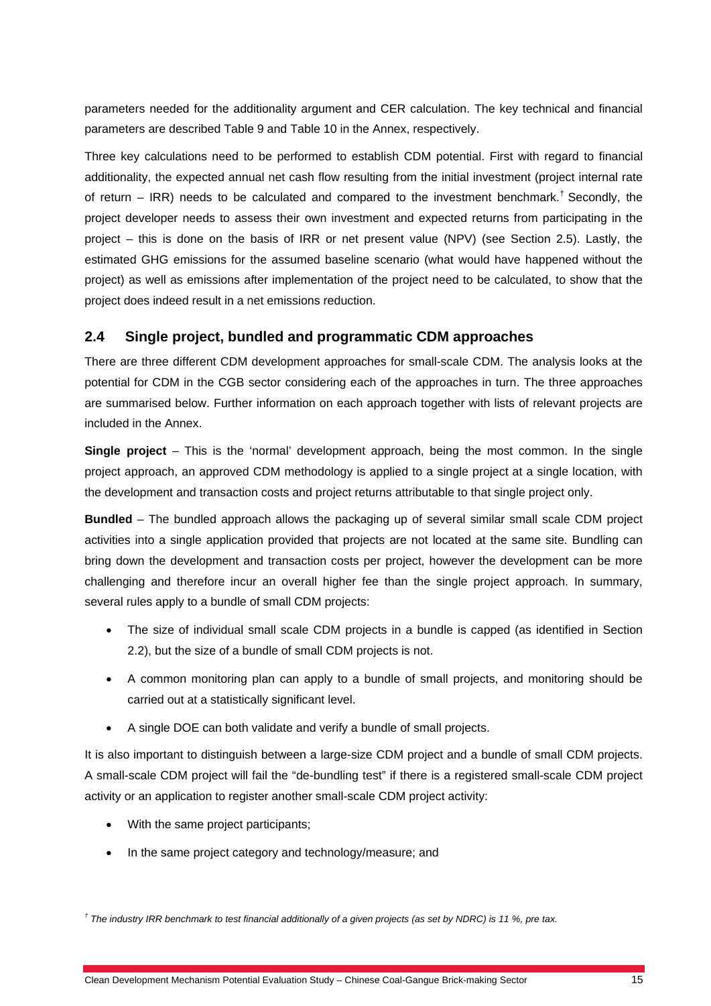parameters needed for the additionality argument and CER calculation. The key technical and financial parameters are described Table 9 and Table 10 in the Annex, respectively.

Three key calculations need to be performed to establish CDM potential. First with regard to financial additionality, the expected annual net cash flow resulting from the initial investment (project internal rate of return  $-$  IRR) needs to be calculated and compared to the investment benchmark.<sup>†</sup> Secondly, the project developer needs to assess their own investment and expected returns from participating in the project – this is done on the basis of IRR or net present value (NPV) (see Section 2.5). Lastly, the estimated GHG emissions for the assumed baseline scenario (what would have happened without the project) as well as emissions after implementation of the project need to be calculated, to show that the project does indeed result in a net emissions reduction.

### **2.4 Single project, bundled and programmatic CDM approaches**

There are three different CDM development approaches for small-scale CDM. The analysis looks at the potential for CDM in the CGB sector considering each of the approaches in turn. The three approaches are summarised below. Further information on each approach together with lists of relevant projects are included in the Annex.

**Single project** – This is the 'normal' development approach, being the most common. In the single project approach, an approved CDM methodology is applied to a single project at a single location, with the development and transaction costs and project returns attributable to that single project only.

**Bundled** – The bundled approach allows the packaging up of several similar small scale CDM project activities into a single application provided that projects are not located at the same site. Bundling can bring down the development and transaction costs per project, however the development can be more challenging and therefore incur an overall higher fee than the single project approach. In summary, several rules apply to a bundle of small CDM projects:

- The size of individual small scale CDM projects in a bundle is capped (as identified in Section 2.2), but the size of a bundle of small CDM projects is not.
- A common monitoring plan can apply to a bundle of small projects, and monitoring should be carried out at a statistically significant level.
- A single DOE can both validate and verify a bundle of small projects.

It is also important to distinguish between a large-size CDM project and a bundle of small CDM projects. A small-scale CDM project will fail the "de-bundling test" if there is a registered small-scale CDM project activity or an application to register another small-scale CDM project activity:

- With the same project participants;
- In the same project category and technology/measure; and

<sup>&</sup>lt;sup>†</sup> The industry IRR benchmark to test financial additionally of a given projects (as set by NDRC) is 11 %, pre tax.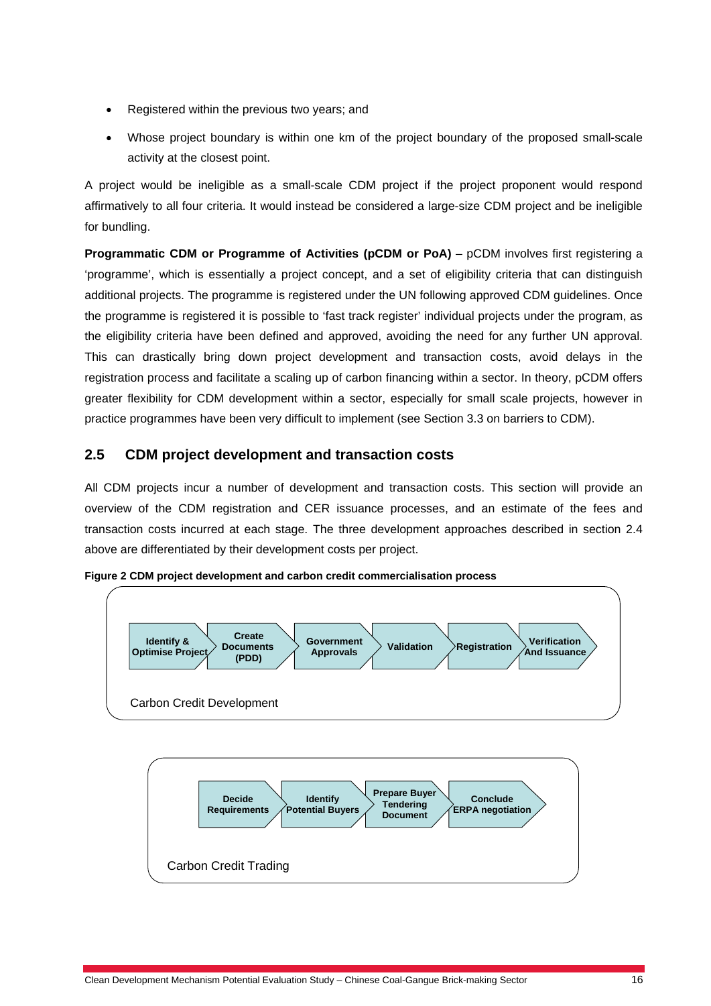- Registered within the previous two years; and
- Whose project boundary is within one km of the project boundary of the proposed small-scale activity at the closest point.

A project would be ineligible as a small-scale CDM project if the project proponent would respond affirmatively to all four criteria. It would instead be considered a large-size CDM project and be ineligible for bundling.

**Programmatic CDM or Programme of Activities (pCDM or PoA)** – pCDM involves first registering a 'programme', which is essentially a project concept, and a set of eligibility criteria that can distinguish additional projects. The programme is registered under the UN following approved CDM guidelines. Once the programme is registered it is possible to 'fast track register' individual projects under the program, as the eligibility criteria have been defined and approved, avoiding the need for any further UN approval. This can drastically bring down project development and transaction costs, avoid delays in the registration process and facilitate a scaling up of carbon financing within a sector. In theory, pCDM offers greater flexibility for CDM development within a sector, especially for small scale projects, however in practice programmes have been very difficult to implement (see Section 3.3 on barriers to CDM).

# **2.5 CDM project development and transaction costs**

All CDM projects incur a number of development and transaction costs. This section will provide an overview of the CDM registration and CER issuance processes, and an estimate of the fees and transaction costs incurred at each stage. The three development approaches described in section 2.4 above are differentiated by their development costs per project.



**Figure 2 CDM project development and carbon credit commercialisation process** 

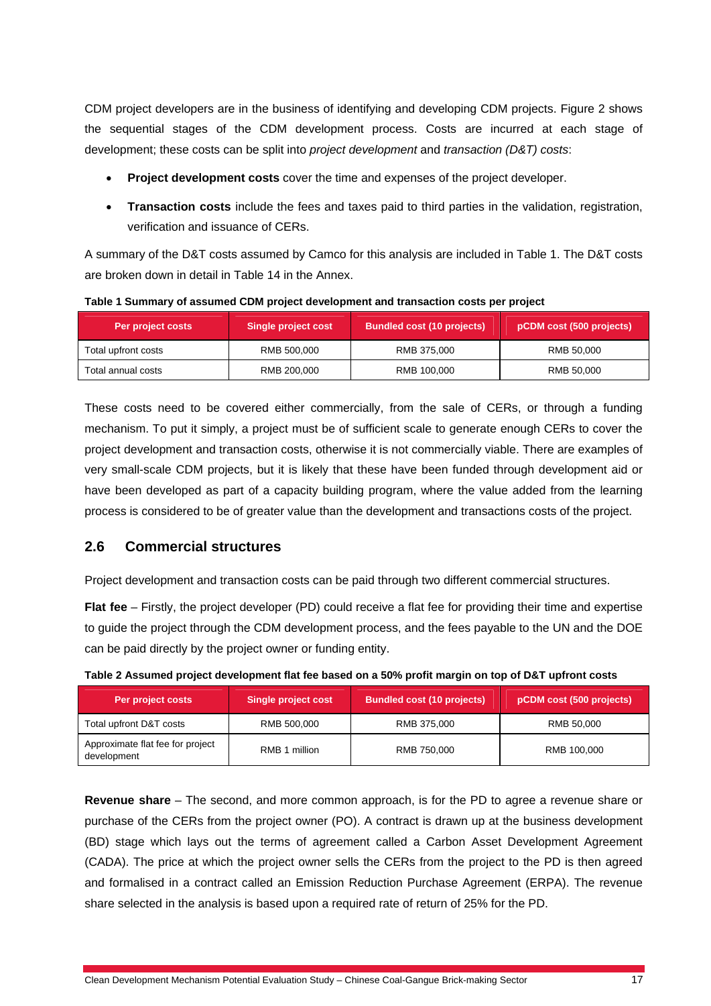CDM project developers are in the business of identifying and developing CDM projects. Figure 2 shows the sequential stages of the CDM development process. Costs are incurred at each stage of development; these costs can be split into *project development* and *transaction (D&T) costs*:

- **Project development costs** cover the time and expenses of the project developer.
- **Transaction costs** include the fees and taxes paid to third parties in the validation, registration, verification and issuance of CERs.

A summary of the D&T costs assumed by Camco for this analysis are included in Table 1. The D&T costs are broken down in detail in Table 14 in the Annex.

| Per project costs   | Single project cost | <b>Bundled cost (10 projects)</b> | pCDM cost (500 projects) |
|---------------------|---------------------|-----------------------------------|--------------------------|
| Total upfront costs | RMB 500,000         | RMB 375,000                       | RMB 50,000               |
| Total annual costs  | RMB 200.000         | RMB 100,000                       | RMB 50.000               |

**Table 1 Summary of assumed CDM project development and transaction costs per project** 

These costs need to be covered either commercially, from the sale of CERs, or through a funding mechanism. To put it simply, a project must be of sufficient scale to generate enough CERs to cover the project development and transaction costs, otherwise it is not commercially viable. There are examples of very small-scale CDM projects, but it is likely that these have been funded through development aid or have been developed as part of a capacity building program, where the value added from the learning process is considered to be of greater value than the development and transactions costs of the project.

# **2.6 Commercial structures**

Project development and transaction costs can be paid through two different commercial structures.

**Flat fee** – Firstly, the project developer (PD) could receive a flat fee for providing their time and expertise to guide the project through the CDM development process, and the fees payable to the UN and the DOE can be paid directly by the project owner or funding entity.

| Per project costs                               | <b>Single project cost</b> | <b>Bundled cost (10 projects)</b> | pCDM cost (500 projects) |
|-------------------------------------------------|----------------------------|-----------------------------------|--------------------------|
| Total upfront D&T costs                         | RMB 500,000                | RMB 375,000                       | RMB 50,000               |
| Approximate flat fee for project<br>development | RMB 1 million              | RMB 750,000                       | RMB 100,000              |

**Table 2 Assumed project development flat fee based on a 50% profit margin on top of D&T upfront costs** 

**Revenue share** *–* The second, and more common approach, is for the PD to agree a revenue share or purchase of the CERs from the project owner (PO). A contract is drawn up at the business development (BD) stage which lays out the terms of agreement called a Carbon Asset Development Agreement (CADA). The price at which the project owner sells the CERs from the project to the PD is then agreed and formalised in a contract called an Emission Reduction Purchase Agreement (ERPA). The revenue share selected in the analysis is based upon a required rate of return of 25% for the PD.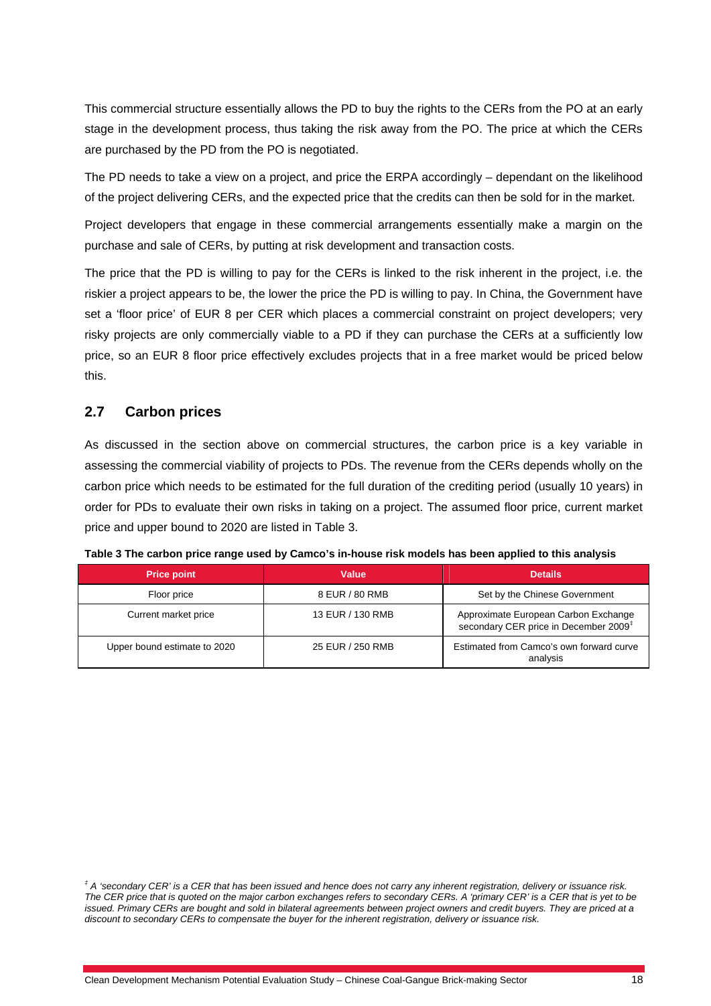This commercial structure essentially allows the PD to buy the rights to the CERs from the PO at an early stage in the development process, thus taking the risk away from the PO. The price at which the CERs are purchased by the PD from the PO is negotiated.

The PD needs to take a view on a project, and price the ERPA accordingly – dependant on the likelihood of the project delivering CERs, and the expected price that the credits can then be sold for in the market.

Project developers that engage in these commercial arrangements essentially make a margin on the purchase and sale of CERs, by putting at risk development and transaction costs.

The price that the PD is willing to pay for the CERs is linked to the risk inherent in the project, i.e. the riskier a project appears to be, the lower the price the PD is willing to pay. In China, the Government have set a 'floor price' of EUR 8 per CER which places a commercial constraint on project developers; very risky projects are only commercially viable to a PD if they can purchase the CERs at a sufficiently low price, so an EUR 8 floor price effectively excludes projects that in a free market would be priced below this.

# **2.7 Carbon prices**

As discussed in the section above on commercial structures, the carbon price is a key variable in assessing the commercial viability of projects to PDs. The revenue from the CERs depends wholly on the carbon price which needs to be estimated for the full duration of the crediting period (usually 10 years) in order for PDs to evaluate their own risks in taking on a project. The assumed floor price, current market price and upper bound to 2020 are listed in Table 3.

| <b>Price point</b>           | Value            | <b>Details</b>                                                                            |
|------------------------------|------------------|-------------------------------------------------------------------------------------------|
| Floor price                  | 8 EUR / 80 RMB   | Set by the Chinese Government                                                             |
| Current market price         | 13 EUR / 130 RMB | Approximate European Carbon Exchange<br>secondary CER price in December 2009 <sup>‡</sup> |
| Upper bound estimate to 2020 | 25 EUR / 250 RMB | Estimated from Camco's own forward curve<br>analysis                                      |

**Table 3 The carbon price range used by Camco's in-house risk models has been applied to this analysis** 

*<sup>‡</sup> A 'secondary CER' is a CER that has been issued and hence does not carry any inherent registration, delivery or issuance risk. The CER price that is quoted on the major carbon exchanges refers to secondary CERs. A 'primary CER' is a CER that is yet to be issued. Primary CERs are bought and sold in bilateral agreements between project owners and credit buyers. They are priced at a discount to secondary CERs to compensate the buyer for the inherent registration, delivery or issuance risk.*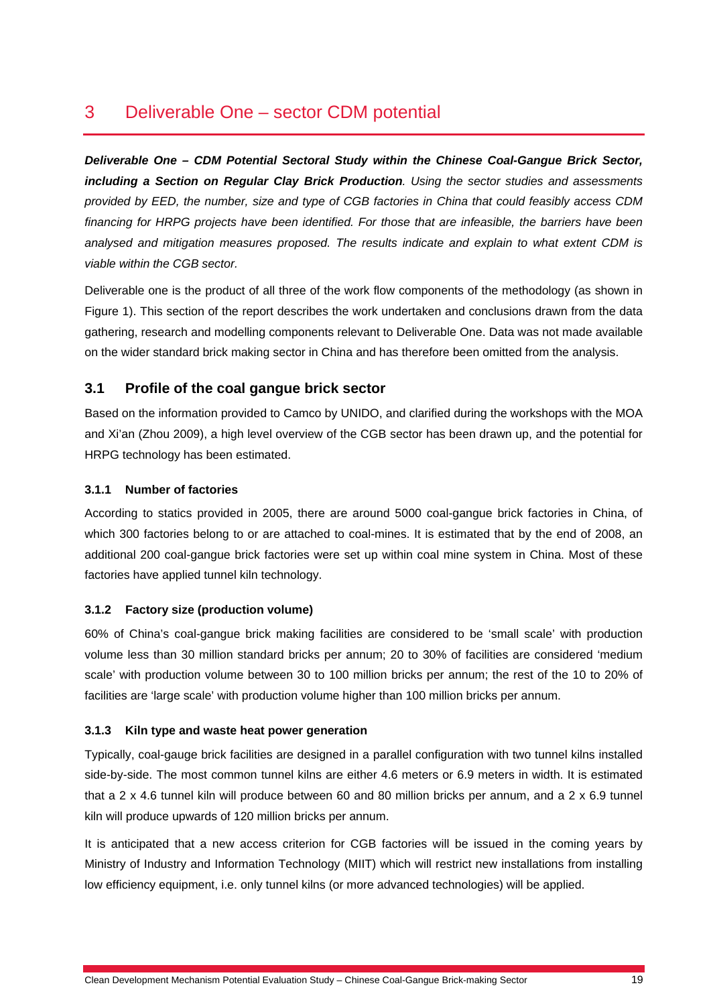# 3 Deliverable One – sector CDM potential

*Deliverable One – CDM Potential Sectoral Study within the Chinese Coal-Gangue Brick Sector, including a Section on Regular Clay Brick Production. Using the sector studies and assessments provided by EED, the number, size and type of CGB factories in China that could feasibly access CDM financing for HRPG projects have been identified. For those that are infeasible, the barriers have been analysed and mitigation measures proposed. The results indicate and explain to what extent CDM is viable within the CGB sector.* 

Deliverable one is the product of all three of the work flow components of the methodology (as shown in Figure 1). This section of the report describes the work undertaken and conclusions drawn from the data gathering, research and modelling components relevant to Deliverable One. Data was not made available on the wider standard brick making sector in China and has therefore been omitted from the analysis.

# **3.1 Profile of the coal gangue brick sector**

Based on the information provided to Camco by UNIDO, and clarified during the workshops with the MOA and Xi'an (Zhou 2009), a high level overview of the CGB sector has been drawn up, and the potential for HRPG technology has been estimated.

#### **3.1.1 Number of factories**

According to statics provided in 2005, there are around 5000 coal-gangue brick factories in China, of which 300 factories belong to or are attached to coal-mines. It is estimated that by the end of 2008, an additional 200 coal-gangue brick factories were set up within coal mine system in China. Most of these factories have applied tunnel kiln technology.

#### **3.1.2 Factory size (production volume)**

60% of China's coal-gangue brick making facilities are considered to be 'small scale' with production volume less than 30 million standard bricks per annum; 20 to 30% of facilities are considered 'medium scale' with production volume between 30 to 100 million bricks per annum; the rest of the 10 to 20% of facilities are 'large scale' with production volume higher than 100 million bricks per annum.

#### **3.1.3 Kiln type and waste heat power generation**

Typically, coal-gauge brick facilities are designed in a parallel configuration with two tunnel kilns installed side-by-side. The most common tunnel kilns are either 4.6 meters or 6.9 meters in width. It is estimated that a 2 x 4.6 tunnel kiln will produce between 60 and 80 million bricks per annum, and a 2 x 6.9 tunnel kiln will produce upwards of 120 million bricks per annum.

It is anticipated that a new access criterion for CGB factories will be issued in the coming years by Ministry of Industry and Information Technology (MIIT) which will restrict new installations from installing low efficiency equipment, i.e. only tunnel kilns (or more advanced technologies) will be applied.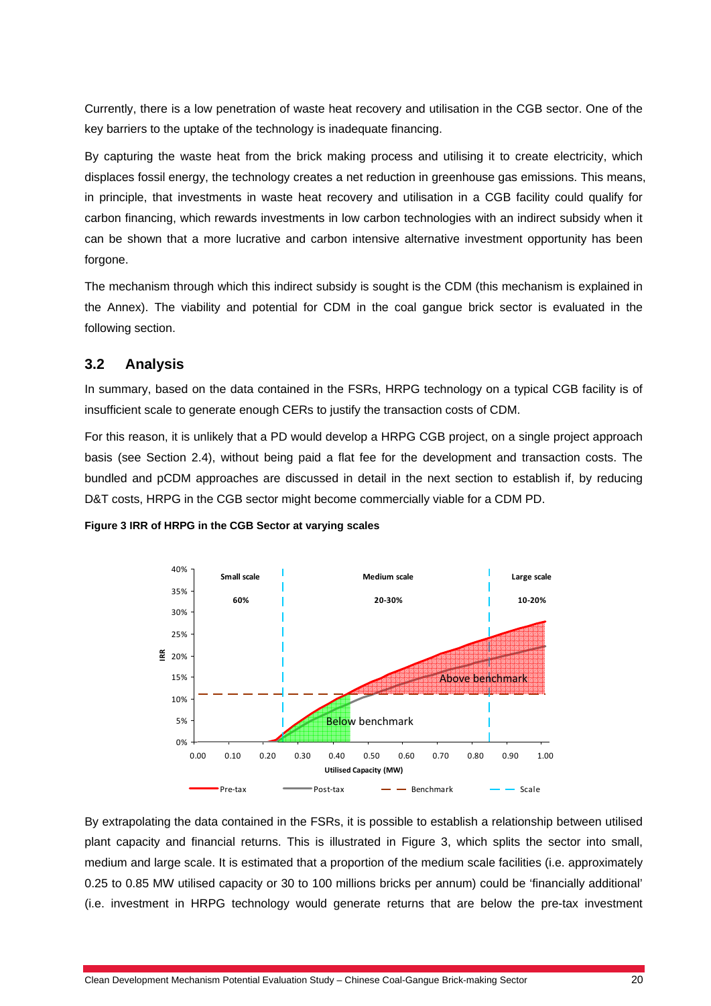Currently, there is a low penetration of waste heat recovery and utilisation in the CGB sector. One of the key barriers to the uptake of the technology is inadequate financing.

By capturing the waste heat from the brick making process and utilising it to create electricity, which displaces fossil energy, the technology creates a net reduction in greenhouse gas emissions. This means, in principle, that investments in waste heat recovery and utilisation in a CGB facility could qualify for carbon financing, which rewards investments in low carbon technologies with an indirect subsidy when it can be shown that a more lucrative and carbon intensive alternative investment opportunity has been forgone.

The mechanism through which this indirect subsidy is sought is the CDM (this mechanism is explained in the Annex). The viability and potential for CDM in the coal gangue brick sector is evaluated in the following section.

### **3.2 Analysis**

In summary, based on the data contained in the FSRs, HRPG technology on a typical CGB facility is of insufficient scale to generate enough CERs to justify the transaction costs of CDM.

For this reason, it is unlikely that a PD would develop a HRPG CGB project, on a single project approach basis (see Section 2.4), without being paid a flat fee for the development and transaction costs. The bundled and pCDM approaches are discussed in detail in the next section to establish if, by reducing D&T costs, HRPG in the CGB sector might become commercially viable for a CDM PD.



**Figure 3 IRR of HRPG in the CGB Sector at varying scales** 

By extrapolating the data contained in the FSRs, it is possible to establish a relationship between utilised plant capacity and financial returns. This is illustrated in Figure 3, which splits the sector into small, medium and large scale. It is estimated that a proportion of the medium scale facilities (i.e. approximately 0.25 to 0.85 MW utilised capacity or 30 to 100 millions bricks per annum) could be 'financially additional' (i.e. investment in HRPG technology would generate returns that are below the pre-tax investment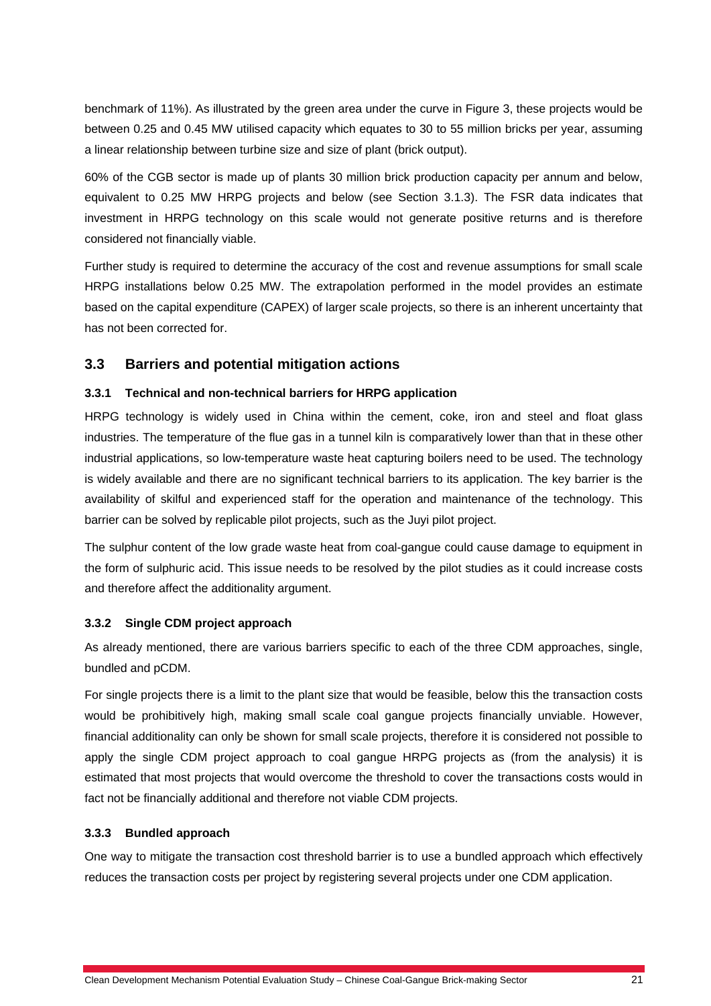benchmark of 11%). As illustrated by the green area under the curve in Figure 3, these projects would be between 0.25 and 0.45 MW utilised capacity which equates to 30 to 55 million bricks per year, assuming a linear relationship between turbine size and size of plant (brick output).

60% of the CGB sector is made up of plants 30 million brick production capacity per annum and below, equivalent to 0.25 MW HRPG projects and below (see Section 3.1.3). The FSR data indicates that investment in HRPG technology on this scale would not generate positive returns and is therefore considered not financially viable.

Further study is required to determine the accuracy of the cost and revenue assumptions for small scale HRPG installations below 0.25 MW. The extrapolation performed in the model provides an estimate based on the capital expenditure (CAPEX) of larger scale projects, so there is an inherent uncertainty that has not been corrected for.

# **3.3 Barriers and potential mitigation actions**

#### **3.3.1 Technical and non-technical barriers for HRPG application**

HRPG technology is widely used in China within the cement, coke, iron and steel and float glass industries. The temperature of the flue gas in a tunnel kiln is comparatively lower than that in these other industrial applications, so low-temperature waste heat capturing boilers need to be used. The technology is widely available and there are no significant technical barriers to its application. The key barrier is the availability of skilful and experienced staff for the operation and maintenance of the technology. This barrier can be solved by replicable pilot projects, such as the Juyi pilot project.

The sulphur content of the low grade waste heat from coal-gangue could cause damage to equipment in the form of sulphuric acid. This issue needs to be resolved by the pilot studies as it could increase costs and therefore affect the additionality argument.

#### **3.3.2 Single CDM project approach**

As already mentioned, there are various barriers specific to each of the three CDM approaches, single, bundled and pCDM.

For single projects there is a limit to the plant size that would be feasible, below this the transaction costs would be prohibitively high, making small scale coal gangue projects financially unviable. However, financial additionality can only be shown for small scale projects, therefore it is considered not possible to apply the single CDM project approach to coal gangue HRPG projects as (from the analysis) it is estimated that most projects that would overcome the threshold to cover the transactions costs would in fact not be financially additional and therefore not viable CDM projects.

#### **3.3.3 Bundled approach**

One way to mitigate the transaction cost threshold barrier is to use a bundled approach which effectively reduces the transaction costs per project by registering several projects under one CDM application.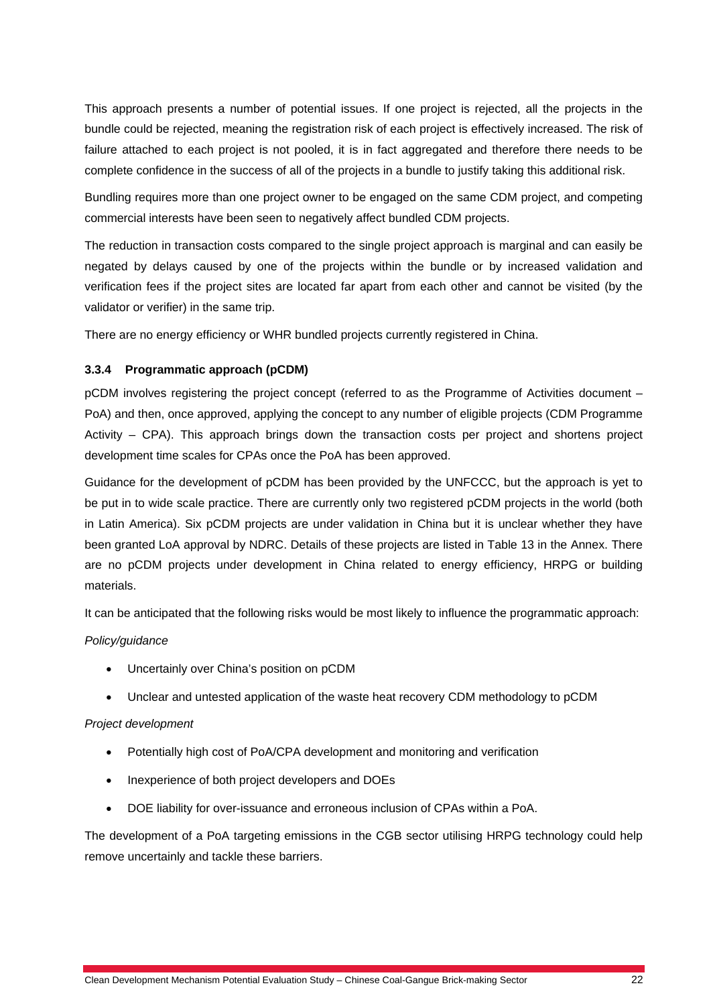This approach presents a number of potential issues. If one project is rejected, all the projects in the bundle could be rejected, meaning the registration risk of each project is effectively increased. The risk of failure attached to each project is not pooled, it is in fact aggregated and therefore there needs to be complete confidence in the success of all of the projects in a bundle to justify taking this additional risk.

Bundling requires more than one project owner to be engaged on the same CDM project, and competing commercial interests have been seen to negatively affect bundled CDM projects.

The reduction in transaction costs compared to the single project approach is marginal and can easily be negated by delays caused by one of the projects within the bundle or by increased validation and verification fees if the project sites are located far apart from each other and cannot be visited (by the validator or verifier) in the same trip.

There are no energy efficiency or WHR bundled projects currently registered in China.

#### **3.3.4 Programmatic approach (pCDM)**

pCDM involves registering the project concept (referred to as the Programme of Activities document – PoA) and then, once approved, applying the concept to any number of eligible projects (CDM Programme Activity – CPA). This approach brings down the transaction costs per project and shortens project development time scales for CPAs once the PoA has been approved.

Guidance for the development of pCDM has been provided by the UNFCCC, but the approach is yet to be put in to wide scale practice. There are currently only two registered pCDM projects in the world (both in Latin America). Six pCDM projects are under validation in China but it is unclear whether they have been granted LoA approval by NDRC. Details of these projects are listed in Table 13 in the Annex. There are no pCDM projects under development in China related to energy efficiency, HRPG or building materials.

It can be anticipated that the following risks would be most likely to influence the programmatic approach:

#### *Policy/guidance*

- Uncertainly over China's position on pCDM
- Unclear and untested application of the waste heat recovery CDM methodology to pCDM

#### *Project development*

- Potentially high cost of PoA/CPA development and monitoring and verification
- Inexperience of both project developers and DOEs
- DOE liability for over-issuance and erroneous inclusion of CPAs within a PoA.

The development of a PoA targeting emissions in the CGB sector utilising HRPG technology could help remove uncertainly and tackle these barriers.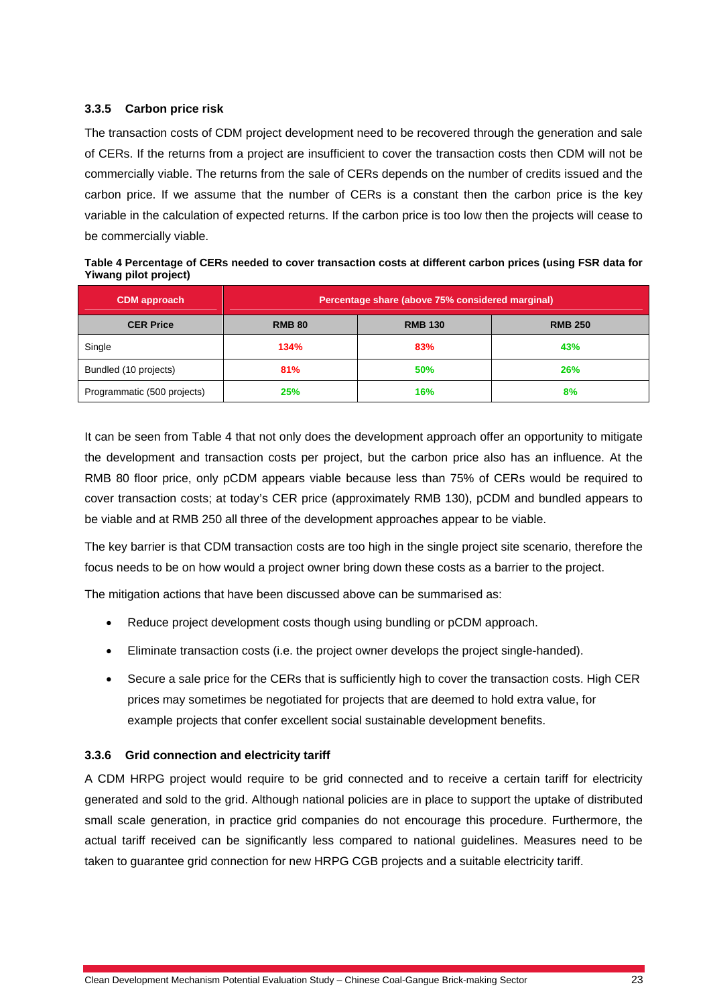#### **3.3.5 Carbon price risk**

The transaction costs of CDM project development need to be recovered through the generation and sale of CERs. If the returns from a project are insufficient to cover the transaction costs then CDM will not be commercially viable. The returns from the sale of CERs depends on the number of credits issued and the carbon price. If we assume that the number of CERs is a constant then the carbon price is the key variable in the calculation of expected returns. If the carbon price is too low then the projects will cease to be commercially viable.

| $\cdots$ p p,         |                                                  |                |                |  |
|-----------------------|--------------------------------------------------|----------------|----------------|--|
| <b>CDM</b> approach   | Percentage share (above 75% considered marginal) |                |                |  |
| <b>CER Price</b>      | <b>RMB 80</b>                                    | <b>RMB 130</b> | <b>RMB 250</b> |  |
| Single                | 134%                                             | 83%            | 43%            |  |
| Bundled (10 projects) | 81%                                              | 50%            | 26%            |  |
|                       |                                                  |                |                |  |

Programmatic (500 projects) **25% 16% 16% 16% 8%** 8%

**Table 4 Percentage of CERs needed to cover transaction costs at different carbon prices (using FSR data for Yiwang pilot project)** 

It can be seen from Table 4 that not only does the development approach offer an opportunity to mitigate the development and transaction costs per project, but the carbon price also has an influence. At the RMB 80 floor price, only pCDM appears viable because less than 75% of CERs would be required to cover transaction costs; at today's CER price (approximately RMB 130), pCDM and bundled appears to be viable and at RMB 250 all three of the development approaches appear to be viable.

The key barrier is that CDM transaction costs are too high in the single project site scenario, therefore the focus needs to be on how would a project owner bring down these costs as a barrier to the project.

The mitigation actions that have been discussed above can be summarised as:

- Reduce project development costs though using bundling or pCDM approach.
- Eliminate transaction costs (i.e. the project owner develops the project single-handed).
- Secure a sale price for the CERs that is sufficiently high to cover the transaction costs. High CER prices may sometimes be negotiated for projects that are deemed to hold extra value, for example projects that confer excellent social sustainable development benefits.

#### **3.3.6 Grid connection and electricity tariff**

A CDM HRPG project would require to be grid connected and to receive a certain tariff for electricity generated and sold to the grid. Although national policies are in place to support the uptake of distributed small scale generation, in practice grid companies do not encourage this procedure. Furthermore, the actual tariff received can be significantly less compared to national guidelines. Measures need to be taken to guarantee grid connection for new HRPG CGB projects and a suitable electricity tariff.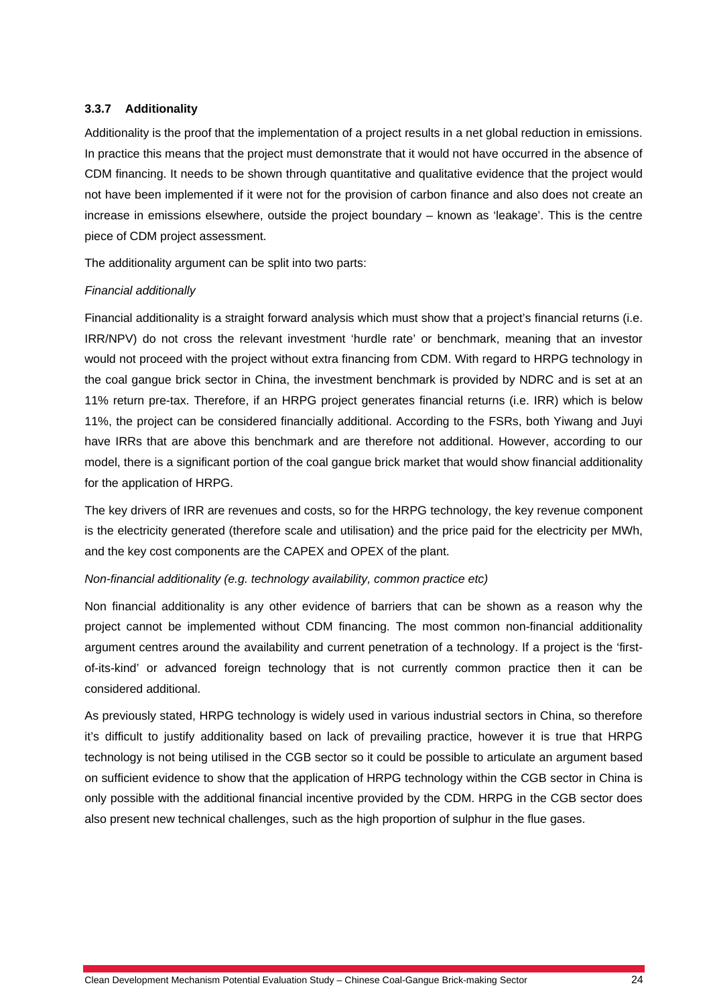#### **3.3.7 Additionality**

Additionality is the proof that the implementation of a project results in a net global reduction in emissions. In practice this means that the project must demonstrate that it would not have occurred in the absence of CDM financing. It needs to be shown through quantitative and qualitative evidence that the project would not have been implemented if it were not for the provision of carbon finance and also does not create an increase in emissions elsewhere, outside the project boundary – known as 'leakage'. This is the centre piece of CDM project assessment.

The additionality argument can be split into two parts:

#### *Financial additionally*

Financial additionality is a straight forward analysis which must show that a project's financial returns (i.e. IRR/NPV) do not cross the relevant investment 'hurdle rate' or benchmark, meaning that an investor would not proceed with the project without extra financing from CDM. With regard to HRPG technology in the coal gangue brick sector in China, the investment benchmark is provided by NDRC and is set at an 11% return pre-tax. Therefore, if an HRPG project generates financial returns (i.e. IRR) which is below 11%, the project can be considered financially additional. According to the FSRs, both Yiwang and Juyi have IRRs that are above this benchmark and are therefore not additional. However, according to our model, there is a significant portion of the coal gangue brick market that would show financial additionality for the application of HRPG.

The key drivers of IRR are revenues and costs, so for the HRPG technology, the key revenue component is the electricity generated (therefore scale and utilisation) and the price paid for the electricity per MWh, and the key cost components are the CAPEX and OPEX of the plant.

#### *Non-financial additionality (e.g. technology availability, common practice etc)*

Non financial additionality is any other evidence of barriers that can be shown as a reason why the project cannot be implemented without CDM financing. The most common non-financial additionality argument centres around the availability and current penetration of a technology. If a project is the 'firstof-its-kind' or advanced foreign technology that is not currently common practice then it can be considered additional.

As previously stated, HRPG technology is widely used in various industrial sectors in China, so therefore it's difficult to justify additionality based on lack of prevailing practice, however it is true that HRPG technology is not being utilised in the CGB sector so it could be possible to articulate an argument based on sufficient evidence to show that the application of HRPG technology within the CGB sector in China is only possible with the additional financial incentive provided by the CDM. HRPG in the CGB sector does also present new technical challenges, such as the high proportion of sulphur in the flue gases.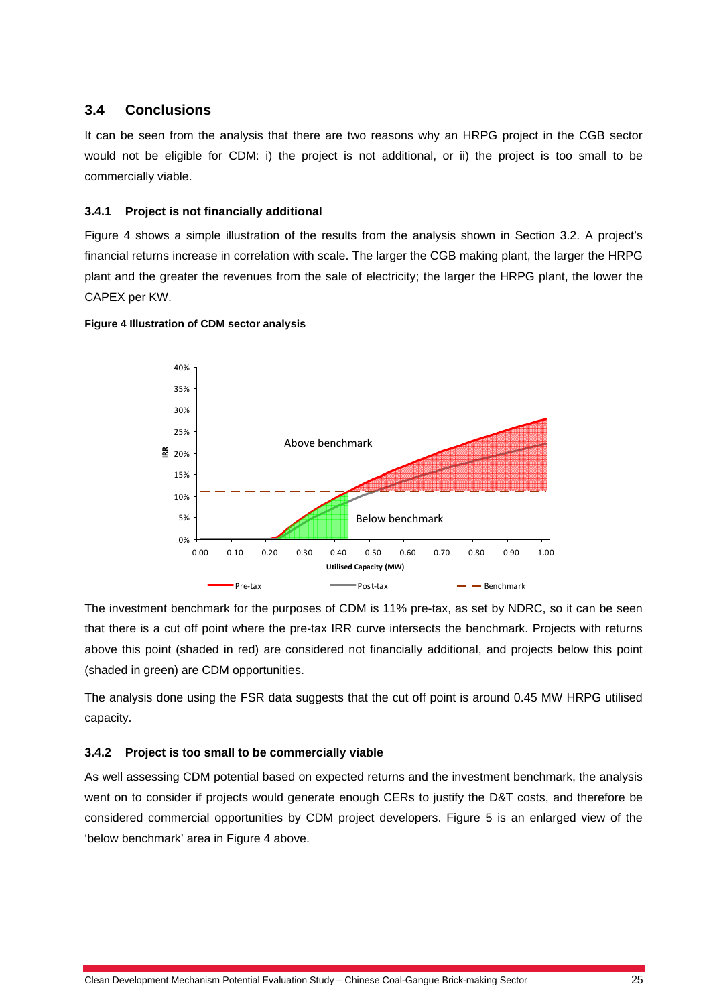#### **3.4 Conclusions**

It can be seen from the analysis that there are two reasons why an HRPG project in the CGB sector would not be eligible for CDM: i) the project is not additional, or ii) the project is too small to be commercially viable.

#### **3.4.1 Project is not financially additional**

Figure 4 shows a simple illustration of the results from the analysis shown in Section 3.2. A project's financial returns increase in correlation with scale. The larger the CGB making plant, the larger the HRPG plant and the greater the revenues from the sale of electricity; the larger the HRPG plant, the lower the CAPEX per KW.



#### **Figure 4 Illustration of CDM sector analysis**

The investment benchmark for the purposes of CDM is 11% pre-tax, as set by NDRC, so it can be seen that there is a cut off point where the pre-tax IRR curve intersects the benchmark. Projects with returns above this point (shaded in red) are considered not financially additional, and projects below this point (shaded in green) are CDM opportunities.

The analysis done using the FSR data suggests that the cut off point is around 0.45 MW HRPG utilised capacity.

#### **3.4.2 Project is too small to be commercially viable**

As well assessing CDM potential based on expected returns and the investment benchmark, the analysis went on to consider if projects would generate enough CERs to justify the D&T costs, and therefore be considered commercial opportunities by CDM project developers. Figure 5 is an enlarged view of the 'below benchmark' area in Figure 4 above.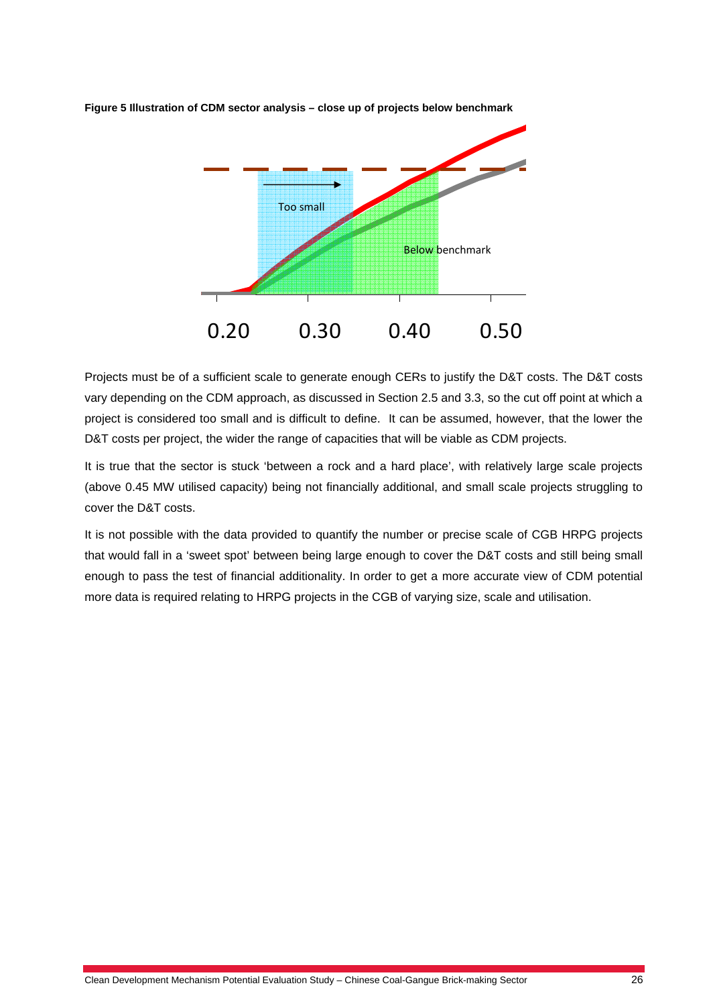

**Figure 5 Illustration of CDM sector analysis – close up of projects below benchmark** 

Projects must be of a sufficient scale to generate enough CERs to justify the D&T costs. The D&T costs vary depending on the CDM approach, as discussed in Section 2.5 and 3.3, so the cut off point at which a project is considered too small and is difficult to define. It can be assumed, however, that the lower the D&T costs per project, the wider the range of capacities that will be viable as CDM projects.

It is true that the sector is stuck 'between a rock and a hard place', with relatively large scale projects (above 0.45 MW utilised capacity) being not financially additional, and small scale projects struggling to cover the D&T costs.

It is not possible with the data provided to quantify the number or precise scale of CGB HRPG projects that would fall in a 'sweet spot' between being large enough to cover the D&T costs and still being small enough to pass the test of financial additionality. In order to get a more accurate view of CDM potential more data is required relating to HRPG projects in the CGB of varying size, scale and utilisation.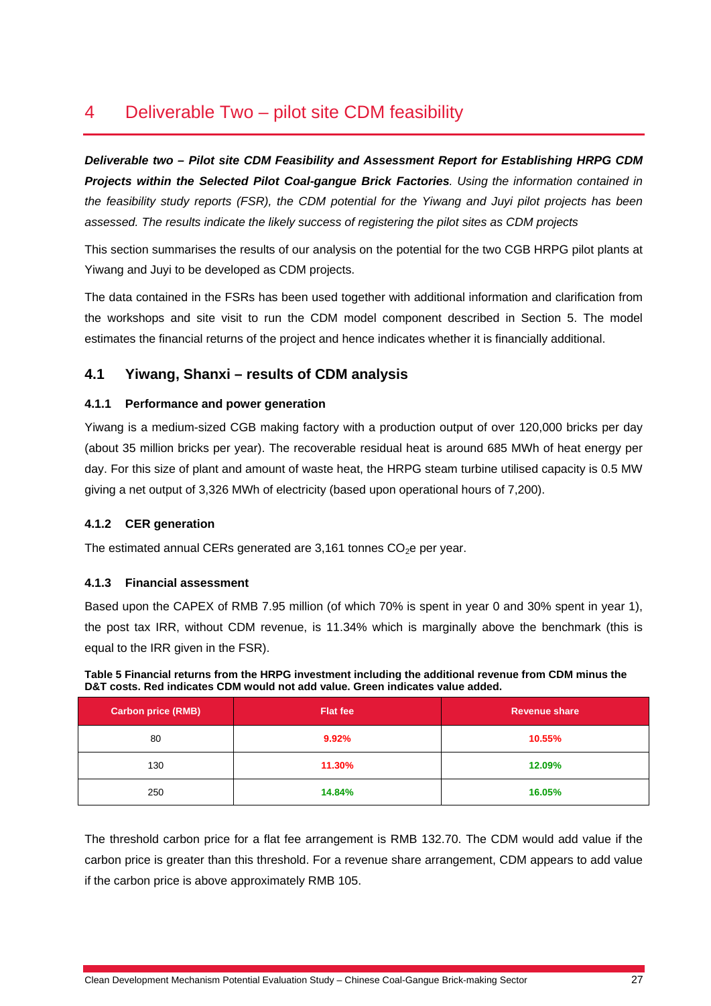# 4 Deliverable Two – pilot site CDM feasibility

*Deliverable two – Pilot site CDM Feasibility and Assessment Report for Establishing HRPG CDM Projects within the Selected Pilot Coal-gangue Brick Factories. Using the information contained in the feasibility study reports (FSR), the CDM potential for the Yiwang and Juyi pilot projects has been assessed. The results indicate the likely success of registering the pilot sites as CDM projects* 

This section summarises the results of our analysis on the potential for the two CGB HRPG pilot plants at Yiwang and Juyi to be developed as CDM projects.

The data contained in the FSRs has been used together with additional information and clarification from the workshops and site visit to run the CDM model component described in Section 5. The model estimates the financial returns of the project and hence indicates whether it is financially additional.

# **4.1 Yiwang, Shanxi – results of CDM analysis**

#### **4.1.1 Performance and power generation**

Yiwang is a medium-sized CGB making factory with a production output of over 120,000 bricks per day (about 35 million bricks per year). The recoverable residual heat is around 685 MWh of heat energy per day. For this size of plant and amount of waste heat, the HRPG steam turbine utilised capacity is 0.5 MW giving a net output of 3,326 MWh of electricity (based upon operational hours of 7,200).

#### **4.1.2 CER generation**

The estimated annual CERs generated are  $3,161$  tonnes  $CO<sub>2</sub>e$  per year.

#### **4.1.3 Financial assessment**

Based upon the CAPEX of RMB 7.95 million (of which 70% is spent in year 0 and 30% spent in year 1), the post tax IRR, without CDM revenue, is 11.34% which is marginally above the benchmark (this is equal to the IRR given in the FSR).

**Table 5 Financial returns from the HRPG investment including the additional revenue from CDM minus the D&T costs. Red indicates CDM would not add value. Green indicates value added.** 

| <b>Carbon price (RMB)</b> | <b>Flat fee</b> | <b>Revenue share</b> |
|---------------------------|-----------------|----------------------|
| 80                        | 9.92%           | 10.55%               |
| 130                       | 11.30%          | 12.09%               |
| 250                       | 14.84%          | 16.05%               |

The threshold carbon price for a flat fee arrangement is RMB 132.70. The CDM would add value if the carbon price is greater than this threshold. For a revenue share arrangement, CDM appears to add value if the carbon price is above approximately RMB 105.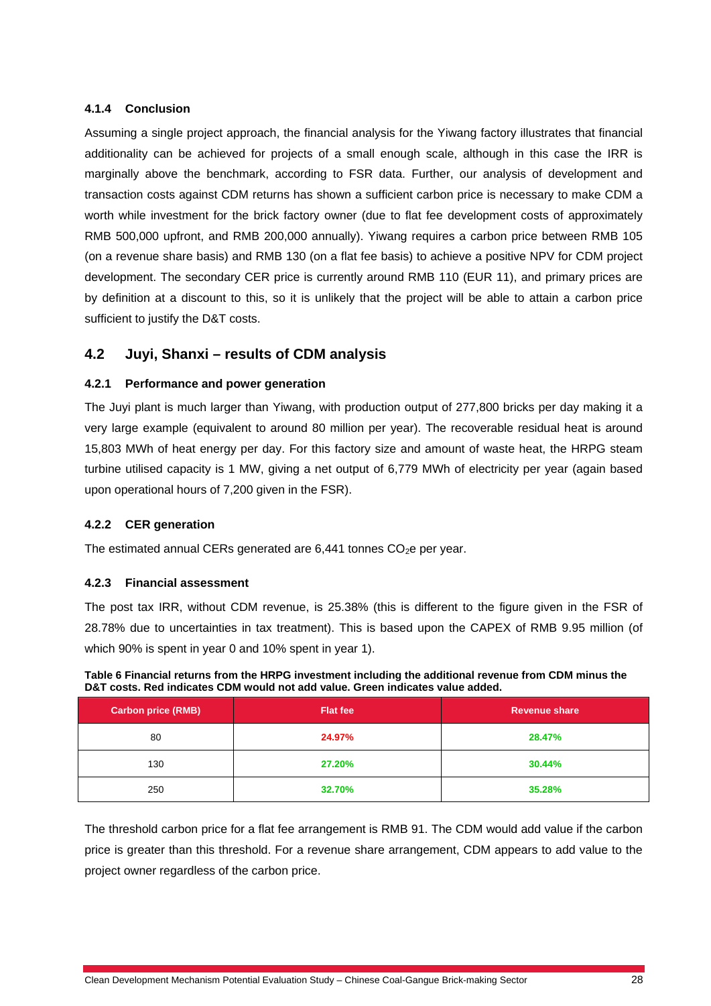#### **4.1.4 Conclusion**

Assuming a single project approach, the financial analysis for the Yiwang factory illustrates that financial additionality can be achieved for projects of a small enough scale, although in this case the IRR is marginally above the benchmark, according to FSR data. Further, our analysis of development and transaction costs against CDM returns has shown a sufficient carbon price is necessary to make CDM a worth while investment for the brick factory owner (due to flat fee development costs of approximately RMB 500,000 upfront, and RMB 200,000 annually). Yiwang requires a carbon price between RMB 105 (on a revenue share basis) and RMB 130 (on a flat fee basis) to achieve a positive NPV for CDM project development. The secondary CER price is currently around RMB 110 (EUR 11), and primary prices are by definition at a discount to this, so it is unlikely that the project will be able to attain a carbon price sufficient to justify the D&T costs.

### **4.2 Juyi, Shanxi – results of CDM analysis**

#### **4.2.1 Performance and power generation**

The Juyi plant is much larger than Yiwang, with production output of 277,800 bricks per day making it a very large example (equivalent to around 80 million per year). The recoverable residual heat is around 15,803 MWh of heat energy per day. For this factory size and amount of waste heat, the HRPG steam turbine utilised capacity is 1 MW, giving a net output of 6,779 MWh of electricity per year (again based upon operational hours of 7,200 given in the FSR).

#### **4.2.2 CER generation**

The estimated annual CERs generated are  $6,441$  tonnes  $CO<sub>2</sub>e$  per year.

#### **4.2.3 Financial assessment**

The post tax IRR, without CDM revenue, is 25.38% (this is different to the figure given in the FSR of 28.78% due to uncertainties in tax treatment). This is based upon the CAPEX of RMB 9.95 million (of which 90% is spent in year 0 and 10% spent in year 1).

| Table 6 Financial returns from the HRPG investment including the additional revenue from CDM minus the |
|--------------------------------------------------------------------------------------------------------|
| D&T costs. Red indicates CDM would not add value. Green indicates value added.                         |

| <b>Carbon price (RMB)</b> | <b>Flat fee</b> | <b>Revenue share</b> |
|---------------------------|-----------------|----------------------|
| 80                        | 24.97%          | 28.47%               |
| 130                       | 27.20%          | 30.44%               |
| 250                       | 32.70%          | 35.28%               |

The threshold carbon price for a flat fee arrangement is RMB 91. The CDM would add value if the carbon price is greater than this threshold. For a revenue share arrangement, CDM appears to add value to the project owner regardless of the carbon price.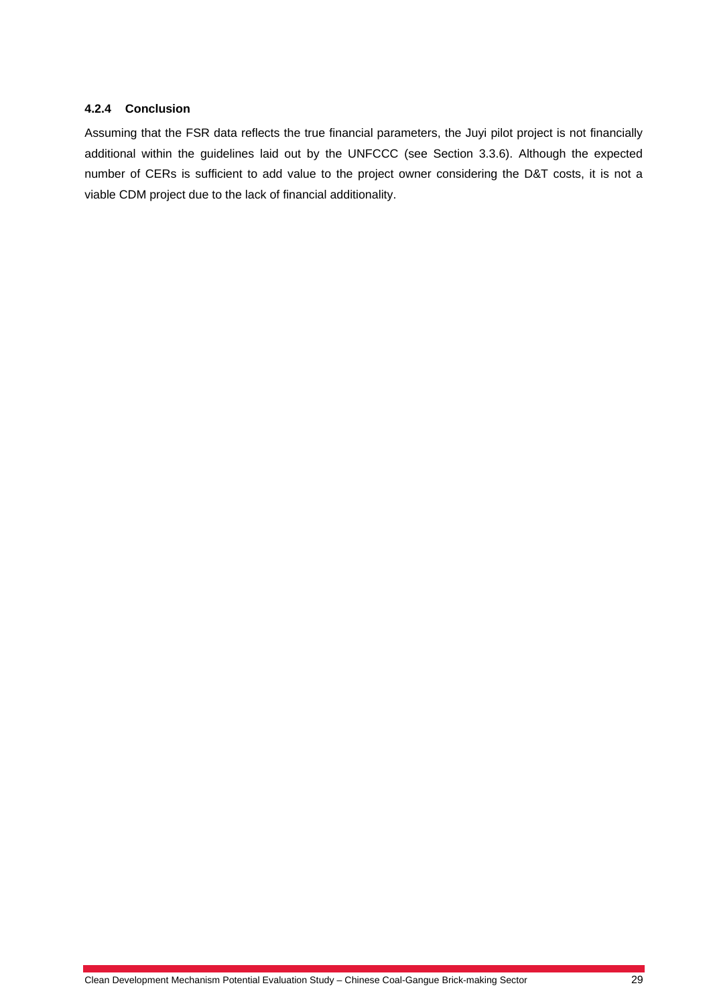#### **4.2.4 Conclusion**

Assuming that the FSR data reflects the true financial parameters, the Juyi pilot project is not financially additional within the guidelines laid out by the UNFCCC (see Section 3.3.6). Although the expected number of CERs is sufficient to add value to the project owner considering the D&T costs, it is not a viable CDM project due to the lack of financial additionality.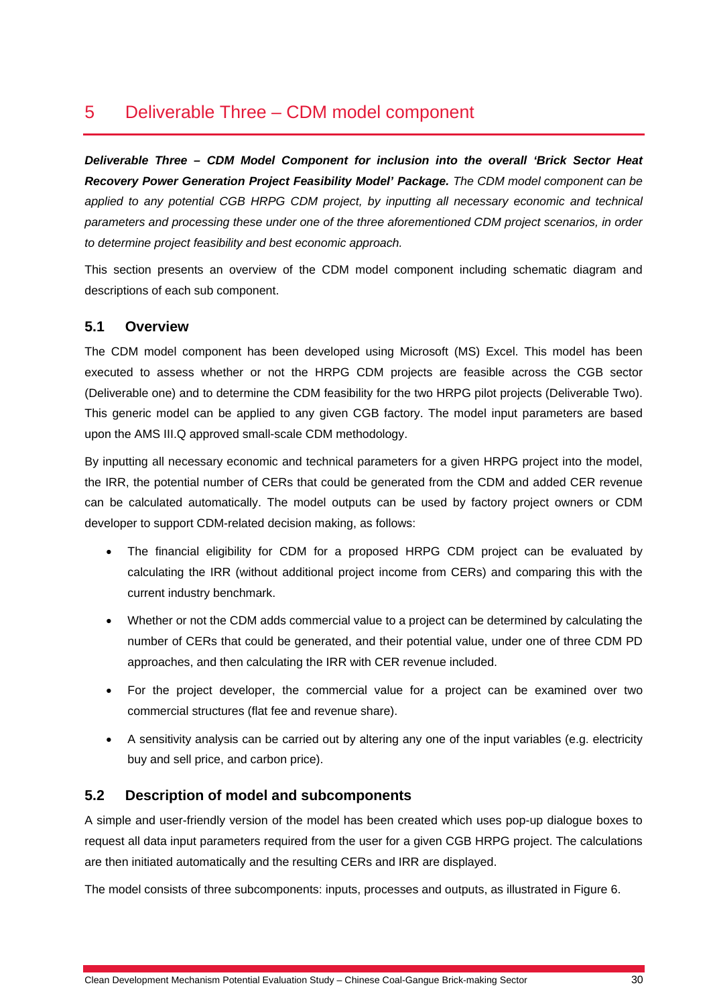# 5 Deliverable Three – CDM model component

*Deliverable Three – CDM Model Component for inclusion into the overall 'Brick Sector Heat Recovery Power Generation Project Feasibility Model' Package. The CDM model component can be applied to any potential CGB HRPG CDM project, by inputting all necessary economic and technical parameters and processing these under one of the three aforementioned CDM project scenarios, in order to determine project feasibility and best economic approach.* 

This section presents an overview of the CDM model component including schematic diagram and descriptions of each sub component.

### **5.1 Overview**

The CDM model component has been developed using Microsoft (MS) Excel. This model has been executed to assess whether or not the HRPG CDM projects are feasible across the CGB sector (Deliverable one) and to determine the CDM feasibility for the two HRPG pilot projects (Deliverable Two). This generic model can be applied to any given CGB factory. The model input parameters are based upon the AMS III.Q approved small-scale CDM methodology.

By inputting all necessary economic and technical parameters for a given HRPG project into the model, the IRR, the potential number of CERs that could be generated from the CDM and added CER revenue can be calculated automatically. The model outputs can be used by factory project owners or CDM developer to support CDM-related decision making, as follows:

- The financial eligibility for CDM for a proposed HRPG CDM project can be evaluated by calculating the IRR (without additional project income from CERs) and comparing this with the current industry benchmark.
- Whether or not the CDM adds commercial value to a project can be determined by calculating the number of CERs that could be generated, and their potential value, under one of three CDM PD approaches, and then calculating the IRR with CER revenue included.
- For the project developer, the commercial value for a project can be examined over two commercial structures (flat fee and revenue share).
- A sensitivity analysis can be carried out by altering any one of the input variables (e.g. electricity buy and sell price, and carbon price).

# **5.2 Description of model and subcomponents**

A simple and user-friendly version of the model has been created which uses pop-up dialogue boxes to request all data input parameters required from the user for a given CGB HRPG project. The calculations are then initiated automatically and the resulting CERs and IRR are displayed.

The model consists of three subcomponents: inputs, processes and outputs, as illustrated in Figure 6.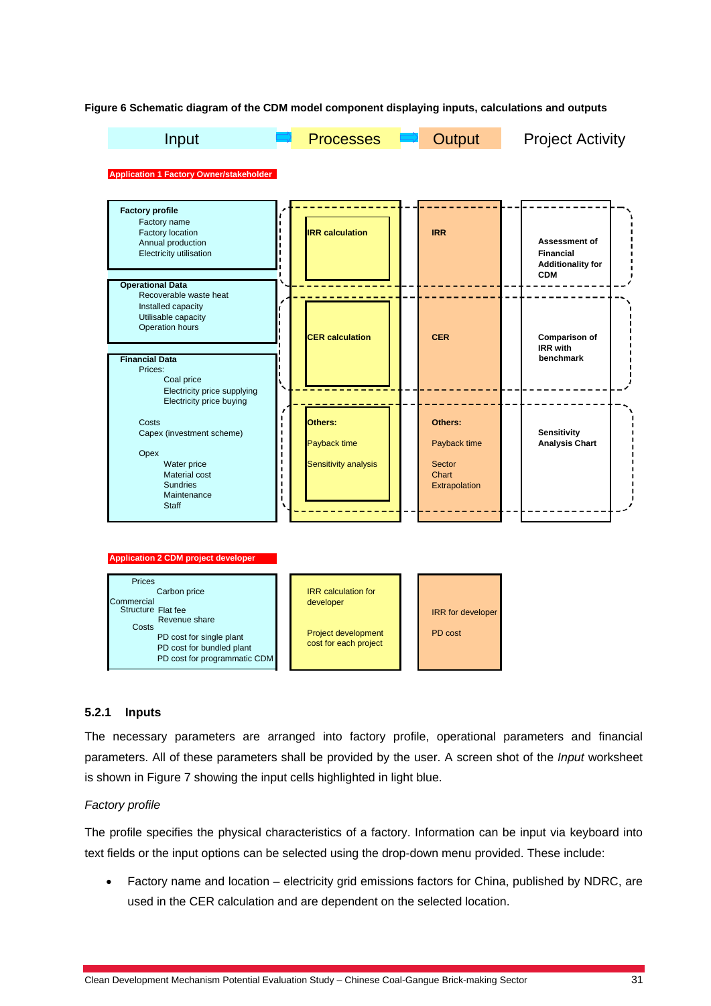**Figure 6 Schematic diagram of the CDM model component displaying inputs, calculations and outputs** 



#### **5.2.1 Inputs**

The necessary parameters are arranged into factory profile, operational parameters and financial parameters. All of these parameters shall be provided by the user. A screen shot of the *Input* worksheet is shown in Figure 7 showing the input cells highlighted in light blue.

#### *Factory profile*

The profile specifies the physical characteristics of a factory. Information can be input via keyboard into text fields or the input options can be selected using the drop-down menu provided. These include:

• Factory name and location – electricity grid emissions factors for China, published by NDRC, are used in the CER calculation and are dependent on the selected location.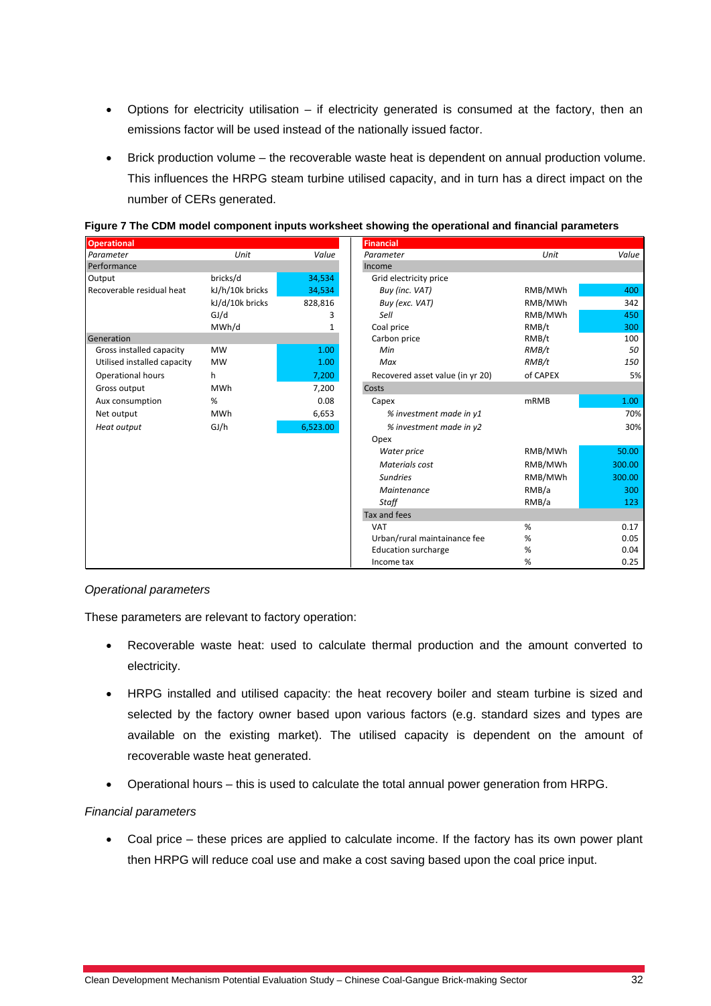- Options for electricity utilisation if electricity generated is consumed at the factory, then an emissions factor will be used instead of the nationally issued factor.
- Brick production volume the recoverable waste heat is dependent on annual production volume. This influences the HRPG steam turbine utilised capacity, and in turn has a direct impact on the number of CERs generated.

| <b>Operational</b>          |                 |          | <b>Financial</b>                 |             |        |
|-----------------------------|-----------------|----------|----------------------------------|-------------|--------|
| Parameter                   | Unit            | Value    | Parameter                        | Unit        | Value  |
| Performance                 |                 |          | Income                           |             |        |
| Output                      | bricks/d        | 34,534   | Grid electricity price           |             |        |
| Recoverable residual heat   | kJ/h/10k bricks | 34,534   | Buy (inc. VAT)                   | RMB/MWh     | 400    |
|                             | kJ/d/10k bricks | 828,816  | Buy (exc. VAT)                   | RMB/MWh     | 342    |
|                             | GJ/d            | 3        | Sell                             | RMB/MWh     | 450    |
|                             | MWh/d           |          | Coal price                       | RMB/t       | 300    |
| Generation                  |                 |          | Carbon price                     | RMB/t       | 100    |
| Gross installed capacity    | <b>MW</b>       | 1.00     | Min                              | RMB/t       | 50     |
| Utilised installed capacity | <b>MW</b>       | 1.00     | Max                              | RMB/t       | 150    |
| <b>Operational hours</b>    | h               | 7,200    | Recovered asset value (in yr 20) | of CAPEX    | 5%     |
| Gross output                | <b>MWh</b>      | 7,200    | Costs                            |             |        |
| Aux consumption             | %               | 0.08     | Capex                            | <b>mRMB</b> | 1.00   |
| Net output                  | <b>MWh</b>      | 6,653    | % investment made in y1          |             | 70%    |
| Heat output                 | GI/h            | 6,523.00 | % investment made in y2          |             | 30%    |
|                             |                 |          | Opex                             |             |        |
|                             |                 |          | Water price                      | RMB/MWh     | 50.00  |
|                             |                 |          | Materials cost                   | RMB/MWh     | 300.00 |
|                             |                 |          | <b>Sundries</b>                  | RMB/MWh     | 300.00 |
|                             |                 |          | Maintenance                      | RMB/a       | 300    |
|                             |                 |          | Staff                            | RMB/a       | 123    |
|                             |                 |          | Tax and fees                     |             |        |
|                             |                 |          | <b>VAT</b>                       | %           | 0.17   |
|                             |                 |          | Urban/rural maintainance fee     | %           | 0.05   |
|                             |                 |          | <b>Education surcharge</b>       | $\%$        | 0.04   |
|                             |                 |          | Income tax                       | %           | 0.25   |

**Figure 7 The CDM model component inputs worksheet showing the operational and financial parameters**

#### *Operational parameters*

These parameters are relevant to factory operation:

- Recoverable waste heat: used to calculate thermal production and the amount converted to electricity.
- HRPG installed and utilised capacity: the heat recovery boiler and steam turbine is sized and selected by the factory owner based upon various factors (e.g. standard sizes and types are available on the existing market). The utilised capacity is dependent on the amount of recoverable waste heat generated.
- Operational hours this is used to calculate the total annual power generation from HRPG.

#### *Financial parameters*

• Coal price – these prices are applied to calculate income. If the factory has its own power plant then HRPG will reduce coal use and make a cost saving based upon the coal price input.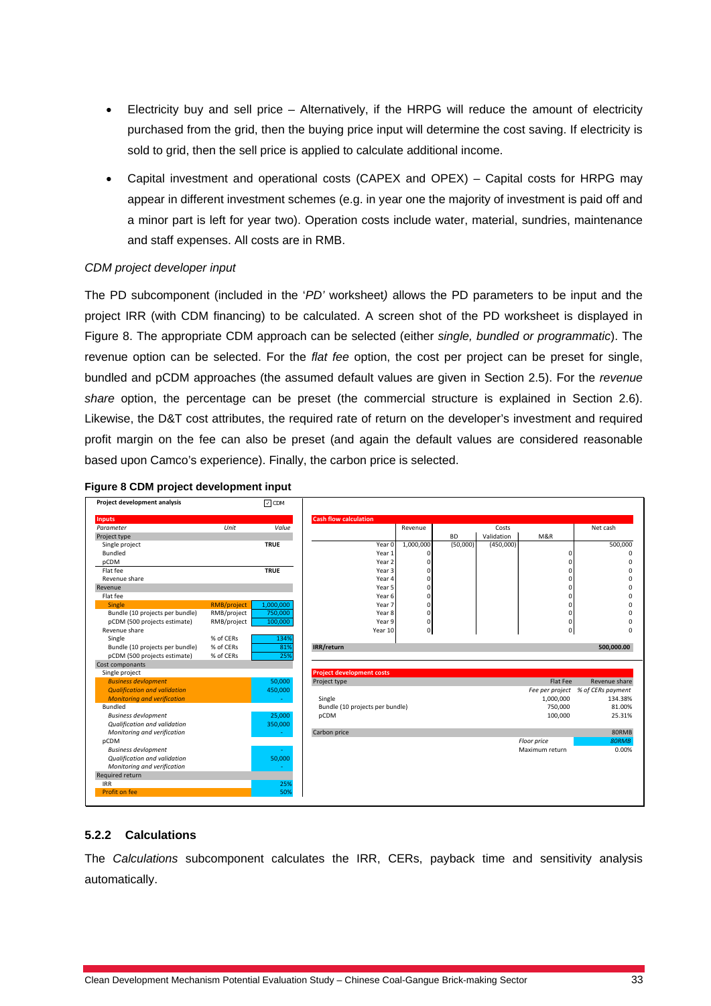- Electricity buy and sell price Alternatively, if the HRPG will reduce the amount of electricity purchased from the grid, then the buying price input will determine the cost saving. If electricity is sold to grid, then the sell price is applied to calculate additional income.
- Capital investment and operational costs (CAPEX and OPEX) Capital costs for HRPG may appear in different investment schemes (e.g. in year one the majority of investment is paid off and a minor part is left for year two). Operation costs include water, material, sundries, maintenance and staff expenses. All costs are in RMB.

#### *CDM project developer input*

The PD subcomponent (included in the '*PD'* worksheet*)* allows the PD parameters to be input and the project IRR (with CDM financing) to be calculated. A screen shot of the PD worksheet is displayed in Figure 8. The appropriate CDM approach can be selected (either *single, bundled or programmatic*). The revenue option can be selected. For the *flat fee* option, the cost per project can be preset for single, bundled and pCDM approaches (the assumed default values are given in Section 2.5). For the *revenue share* option, the percentage can be preset (the commercial structure is explained in Section 2.6). Likewise, the D&T cost attributes, the required rate of return on the developer's investment and required profit margin on the fee can also be preset (and again the default values are considered reasonable based upon Camco's experience). Finally, the carbon price is selected.

|  |  | Figure 8 CDM project development input |  |  |
|--|--|----------------------------------------|--|--|
|--|--|----------------------------------------|--|--|

| Project development analysis        |                    | $\Box$ CDM  |                                  |                   |                |           |            |                |                                   |
|-------------------------------------|--------------------|-------------|----------------------------------|-------------------|----------------|-----------|------------|----------------|-----------------------------------|
| <b>Inputs</b>                       |                    |             | <b>Cash flow calculation</b>     |                   |                |           |            |                |                                   |
| Parameter                           | Unit               | Value       |                                  |                   | Revenue        |           | Costs      |                | Net cash                          |
| Project type                        |                    |             |                                  |                   |                | <b>BD</b> | Validation | M&R            |                                   |
| Single project                      |                    | <b>TRUE</b> |                                  | Year 0            | 1,000,000      | (50,000)  | (450,000)  |                | 500,000                           |
| Bundled                             |                    |             |                                  | Year 1            |                |           |            | 0              | $\Omega$                          |
| pCDM                                |                    |             |                                  | Year <sub>2</sub> |                |           |            | 0              | n                                 |
| Flat fee                            |                    | <b>TRUE</b> |                                  | Year 3            |                |           |            | Ò              | n                                 |
| Revenue share                       |                    |             |                                  | Year 4            | $\Omega$       |           |            | 0              | U                                 |
| Revenue                             |                    |             |                                  | Year 5            | $\Omega$       |           |            | 0              | n                                 |
| Flat fee                            |                    |             |                                  | Year 6            | $\Omega$       |           |            | 0              |                                   |
| Single                              | <b>RMB/project</b> | 1,000,000   |                                  | Year 7            | $\Omega$       |           |            | 0              |                                   |
| Bundle (10 projects per bundle)     | RMB/project        | 750,000     |                                  | Year 8            | $\mathbf 0$    |           |            | 0              | $\Omega$                          |
| pCDM (500 projects estimate)        | RMB/project        | 100,000     |                                  | Year 9            | 0              |           |            | 0              | U                                 |
| Revenue share                       |                    |             |                                  | Year 10           | $\overline{0}$ |           |            | $\mathbf{0}$   | $\Omega$                          |
| Single                              | % of CERs          | 134%        |                                  |                   |                |           |            |                |                                   |
| Bundle (10 projects per bundle)     | % of CERs          | 81%         | IRR/return                       |                   |                |           |            |                | 500,000.00                        |
| pCDM (500 projects estimate)        | % of CERs          | 25%         |                                  |                   |                |           |            |                |                                   |
| Cost componants                     |                    |             |                                  |                   |                |           |            |                |                                   |
| Single project                      |                    |             | <b>Project development costs</b> |                   |                |           |            |                |                                   |
| <b>Business devlopment</b>          |                    | 50,000      | Project type                     |                   |                |           |            | Flat Fee       | Revenue share                     |
| <b>Qualification and validation</b> |                    | 450,000     |                                  |                   |                |           |            |                | Fee per project % of CERs payment |
| <b>Monitoring and verification</b>  |                    |             | Single                           |                   |                |           |            | 1,000,000      | 134.38%                           |
| Bundled                             |                    |             | Bundle (10 projects per bundle)  |                   |                |           |            | 750,000        | 81.00%                            |
| <b>Business devlopment</b>          |                    | 25,000      | pCDM                             |                   |                |           |            | 100,000        | 25.31%                            |
| Qualification and validation        |                    | 350,000     |                                  |                   |                |           |            |                |                                   |
| Monitoring and verification         |                    |             | Carbon price                     |                   |                |           |            |                | 80RMB                             |
| pCDM                                |                    |             |                                  |                   |                |           |            | Floor price    | 80RMB                             |
| <b>Business devlopment</b>          |                    |             |                                  |                   |                |           |            | Maximum return | 0.00%                             |
| Qualification and validation        |                    | 50,000      |                                  |                   |                |           |            |                |                                   |
| Monitoring and verification         |                    |             |                                  |                   |                |           |            |                |                                   |
| Required return                     |                    |             |                                  |                   |                |           |            |                |                                   |
| <b>IRR</b>                          |                    | 25%         |                                  |                   |                |           |            |                |                                   |
| Profit on fee                       |                    | 50%         |                                  |                   |                |           |            |                |                                   |

#### **5.2.2 Calculations**

The *Calculations* subcomponent calculates the IRR, CERs, payback time and sensitivity analysis automatically.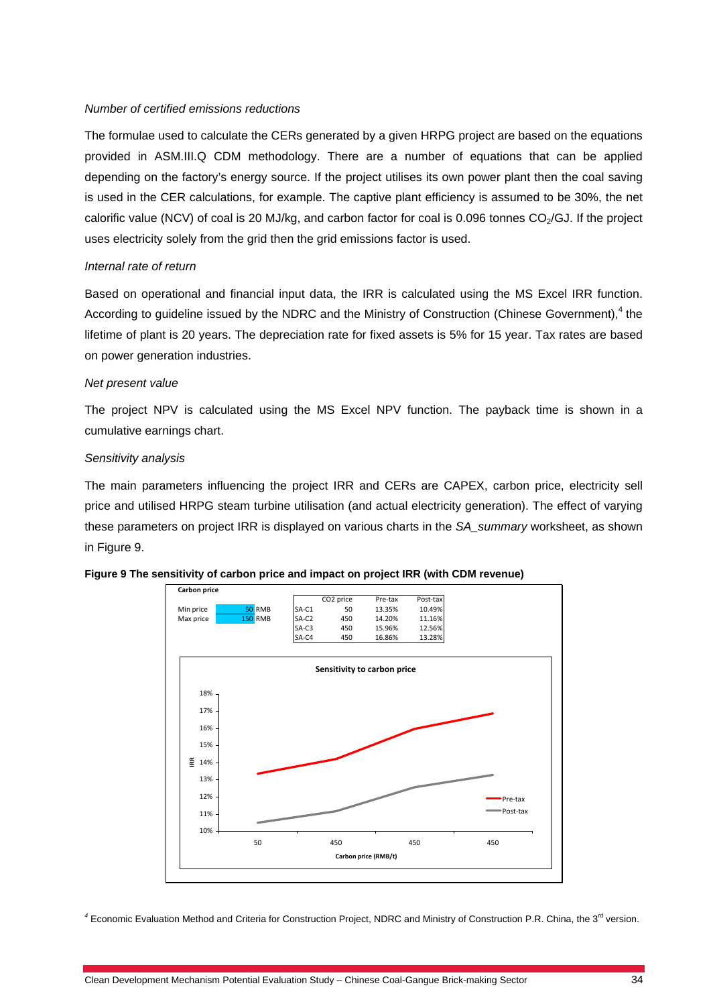#### *Number of certified emissions reductions*

The formulae used to calculate the CERs generated by a given HRPG project are based on the equations provided in ASM.III.Q CDM methodology. There are a number of equations that can be applied depending on the factory's energy source. If the project utilises its own power plant then the coal saving is used in the CER calculations, for example. The captive plant efficiency is assumed to be 30%, the net calorific value (NCV) of coal is 20 MJ/kg, and carbon factor for coal is 0.096 tonnes  $CO<sub>2</sub>/GJ$ . If the project uses electricity solely from the grid then the grid emissions factor is used.

#### *Internal rate of return*

Based on operational and financial input data, the IRR is calculated using the MS Excel IRR function. According to guideline issued by the NDRC and the Ministry of Construction (Chinese Government),  $4$  the lifetime of plant is 20 years. The depreciation rate for fixed assets is 5% for 15 year. Tax rates are based on power generation industries.

#### *Net present value*

The project NPV is calculated using the MS Excel NPV function. The payback time is shown in a cumulative earnings chart.

#### *Sensitivity analysis*

The main parameters influencing the project IRR and CERs are CAPEX, carbon price, electricity sell price and utilised HRPG steam turbine utilisation (and actual electricity generation). The effect of varying these parameters on project IRR is displayed on various charts in the *SA\_summary* worksheet, as shown in Figure 9.



#### **Figure 9 The sensitivity of carbon price and impact on project IRR (with CDM revenue)**

<sup>4</sup> Economic Evaluation Method and Criteria for Construction Project, NDRC and Ministry of Construction P.R. China, the 3<sup>rd</sup> version.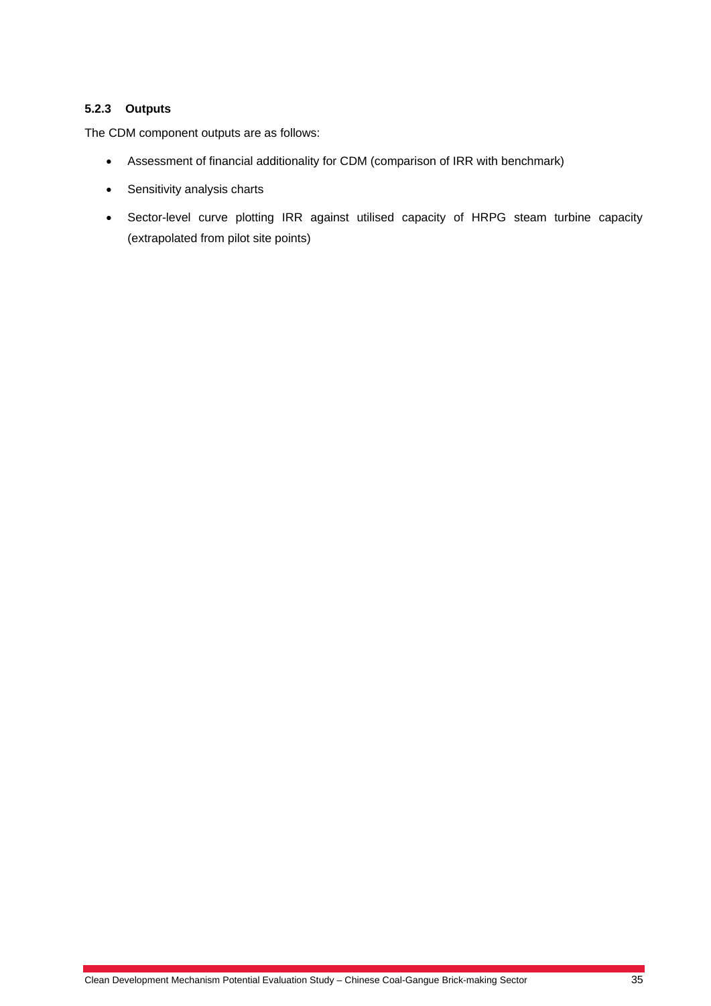#### **5.2.3 Outputs**

The CDM component outputs are as follows:

- Assessment of financial additionality for CDM (comparison of IRR with benchmark)
- Sensitivity analysis charts
- Sector-level curve plotting IRR against utilised capacity of HRPG steam turbine capacity (extrapolated from pilot site points)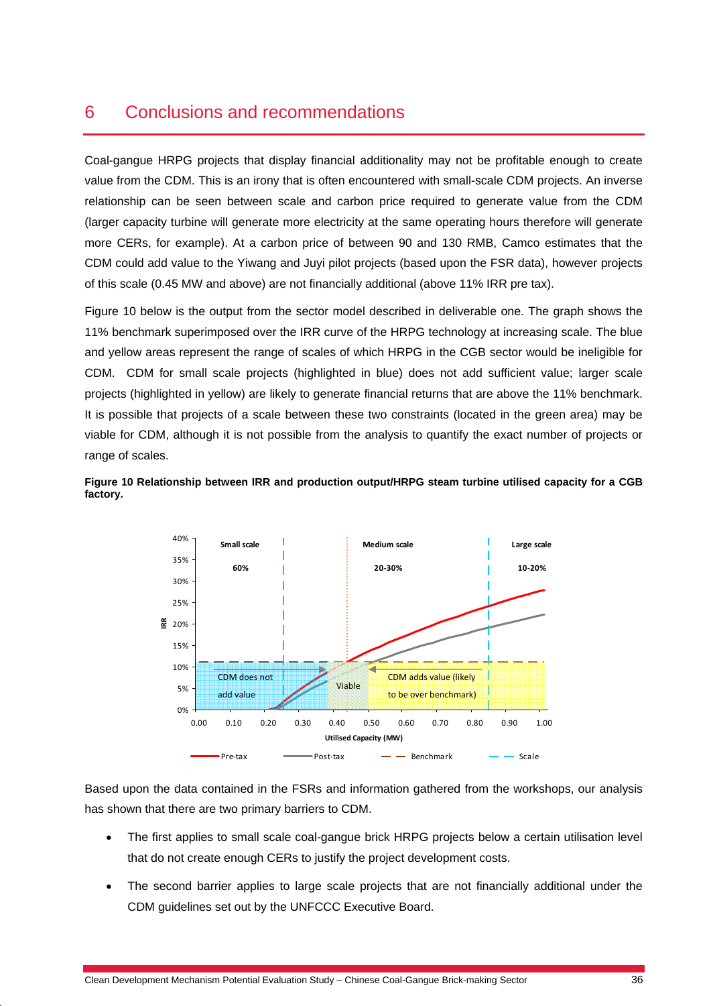# 6 Conclusions and recommendations

Coal-gangue HRPG projects that display financial additionality may not be profitable enough to create value from the CDM. This is an irony that is often encountered with small-scale CDM projects. An inverse relationship can be seen between scale and carbon price required to generate value from the CDM (larger capacity turbine will generate more electricity at the same operating hours therefore will generate more CERs, for example). At a carbon price of between 90 and 130 RMB, Camco estimates that the CDM could add value to the Yiwang and Juyi pilot projects (based upon the FSR data), however projects of this scale (0.45 MW and above) are not financially additional (above 11% IRR pre tax).

Figure 10 below is the output from the sector model described in deliverable one. The graph shows the 11% benchmark superimposed over the IRR curve of the HRPG technology at increasing scale. The blue and yellow areas represent the range of scales of which HRPG in the CGB sector would be ineligible for CDM. CDM for small scale projects (highlighted in blue) does not add sufficient value; larger scale projects (highlighted in yellow) are likely to generate financial returns that are above the 11% benchmark. It is possible that projects of a scale between these two constraints (located in the green area) may be viable for CDM, although it is not possible from the analysis to quantify the exact number of projects or range of scales.

**Figure 10 Relationship between IRR and production output/HRPG steam turbine utilised capacity for a CGB factory.** 



Based upon the data contained in the FSRs and information gathered from the workshops, our analysis has shown that there are two primary barriers to CDM.

- The first applies to small scale coal-gangue brick HRPG projects below a certain utilisation level that do not create enough CERs to justify the project development costs.
- The second barrier applies to large scale projects that are not financially additional under the CDM guidelines set out by the UNFCCC Executive Board.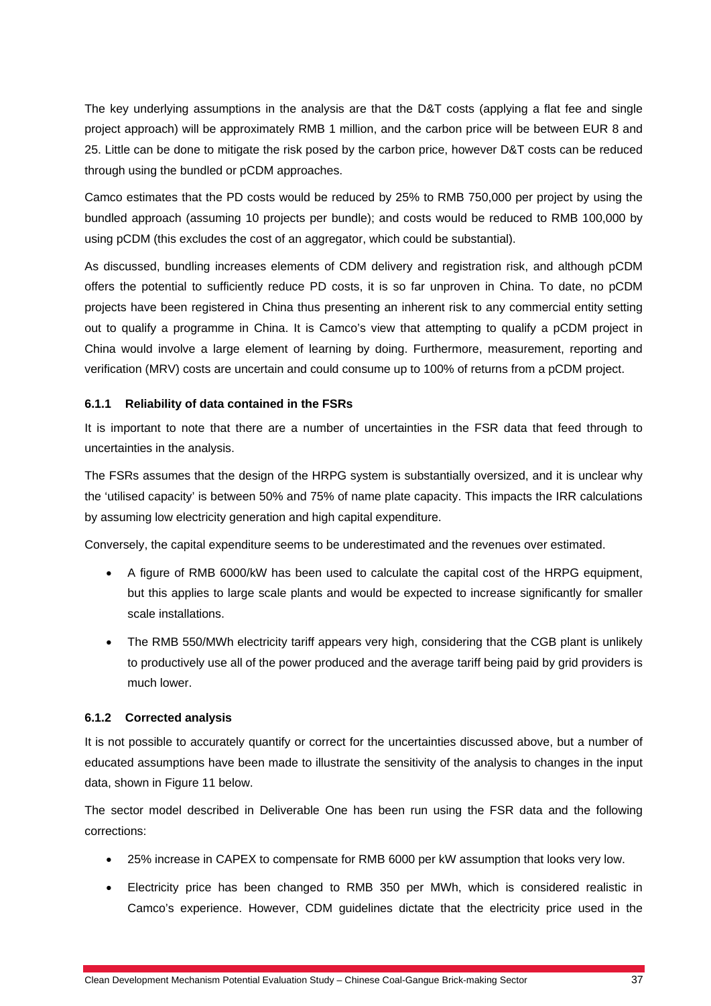The key underlying assumptions in the analysis are that the D&T costs (applying a flat fee and single project approach) will be approximately RMB 1 million, and the carbon price will be between EUR 8 and 25. Little can be done to mitigate the risk posed by the carbon price, however D&T costs can be reduced through using the bundled or pCDM approaches.

Camco estimates that the PD costs would be reduced by 25% to RMB 750,000 per project by using the bundled approach (assuming 10 projects per bundle); and costs would be reduced to RMB 100,000 by using pCDM (this excludes the cost of an aggregator, which could be substantial).

As discussed, bundling increases elements of CDM delivery and registration risk, and although pCDM offers the potential to sufficiently reduce PD costs, it is so far unproven in China. To date, no pCDM projects have been registered in China thus presenting an inherent risk to any commercial entity setting out to qualify a programme in China. It is Camco's view that attempting to qualify a pCDM project in China would involve a large element of learning by doing. Furthermore, measurement, reporting and verification (MRV) costs are uncertain and could consume up to 100% of returns from a pCDM project.

#### **6.1.1 Reliability of data contained in the FSRs**

It is important to note that there are a number of uncertainties in the FSR data that feed through to uncertainties in the analysis.

The FSRs assumes that the design of the HRPG system is substantially oversized, and it is unclear why the 'utilised capacity' is between 50% and 75% of name plate capacity. This impacts the IRR calculations by assuming low electricity generation and high capital expenditure.

Conversely, the capital expenditure seems to be underestimated and the revenues over estimated.

- A figure of RMB 6000/kW has been used to calculate the capital cost of the HRPG equipment, but this applies to large scale plants and would be expected to increase significantly for smaller scale installations.
- The RMB 550/MWh electricity tariff appears very high, considering that the CGB plant is unlikely to productively use all of the power produced and the average tariff being paid by grid providers is much lower.

#### **6.1.2 Corrected analysis**

It is not possible to accurately quantify or correct for the uncertainties discussed above, but a number of educated assumptions have been made to illustrate the sensitivity of the analysis to changes in the input data, shown in Figure 11 below.

The sector model described in Deliverable One has been run using the FSR data and the following corrections:

- 25% increase in CAPEX to compensate for RMB 6000 per kW assumption that looks very low.
- Electricity price has been changed to RMB 350 per MWh, which is considered realistic in Camco's experience. However, CDM guidelines dictate that the electricity price used in the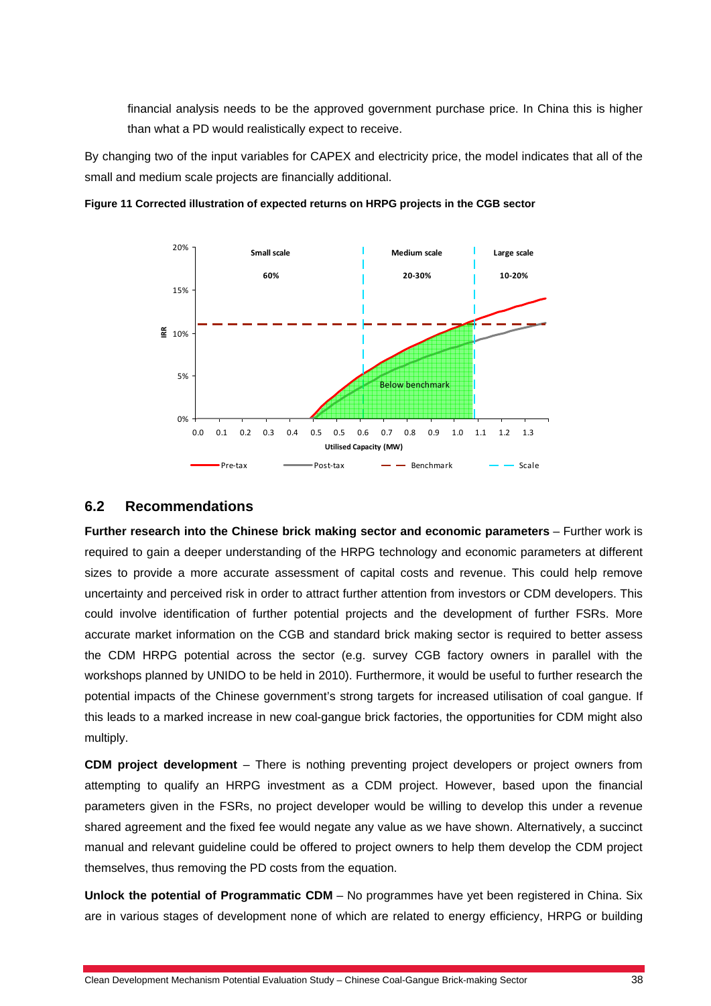financial analysis needs to be the approved government purchase price. In China this is higher than what a PD would realistically expect to receive.

By changing two of the input variables for CAPEX and electricity price, the model indicates that all of the small and medium scale projects are financially additional.



**Figure 11 Corrected illustration of expected returns on HRPG projects in the CGB sector** 

#### **6.2 Recommendations**

**Further research into the Chinese brick making sector and economic parameters** – Further work is required to gain a deeper understanding of the HRPG technology and economic parameters at different sizes to provide a more accurate assessment of capital costs and revenue. This could help remove uncertainty and perceived risk in order to attract further attention from investors or CDM developers. This could involve identification of further potential projects and the development of further FSRs. More accurate market information on the CGB and standard brick making sector is required to better assess the CDM HRPG potential across the sector (e.g. survey CGB factory owners in parallel with the workshops planned by UNIDO to be held in 2010). Furthermore, it would be useful to further research the potential impacts of the Chinese government's strong targets for increased utilisation of coal gangue. If this leads to a marked increase in new coal-gangue brick factories, the opportunities for CDM might also multiply.

**CDM project development** – There is nothing preventing project developers or project owners from attempting to qualify an HRPG investment as a CDM project. However, based upon the financial parameters given in the FSRs, no project developer would be willing to develop this under a revenue shared agreement and the fixed fee would negate any value as we have shown. Alternatively, a succinct manual and relevant guideline could be offered to project owners to help them develop the CDM project themselves, thus removing the PD costs from the equation.

**Unlock the potential of Programmatic CDM** – No programmes have yet been registered in China. Six are in various stages of development none of which are related to energy efficiency, HRPG or building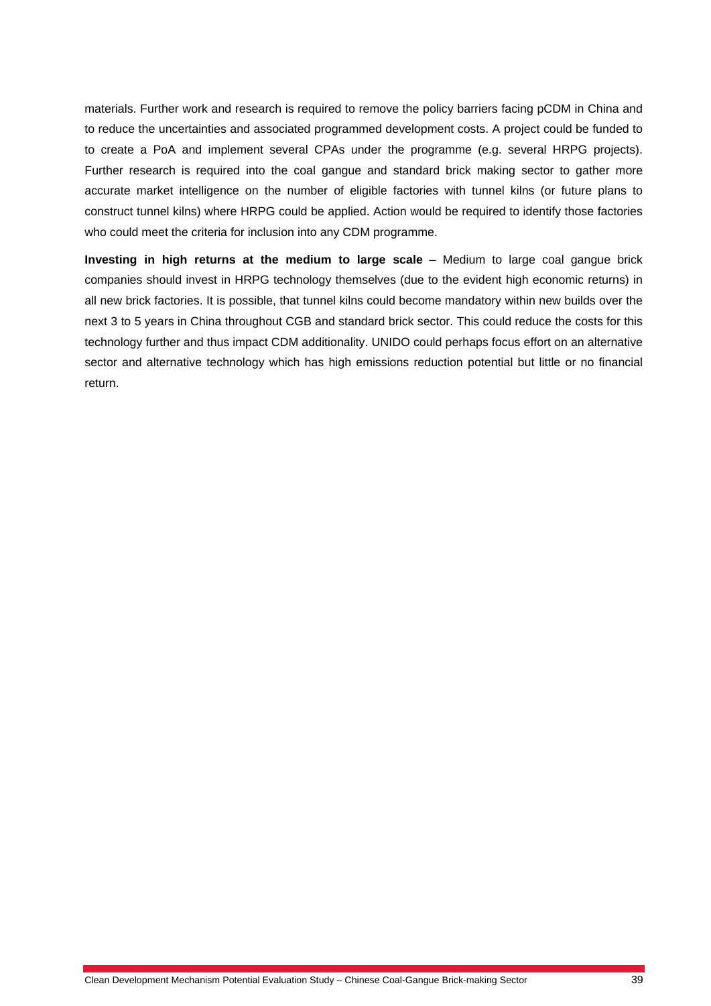materials. Further work and research is required to remove the policy barriers facing pCDM in China and to reduce the uncertainties and associated programmed development costs. A project could be funded to to create a PoA and implement several CPAs under the programme (e.g. several HRPG projects). Further research is required into the coal gangue and standard brick making sector to gather more accurate market intelligence on the number of eligible factories with tunnel kilns (or future plans to construct tunnel kilns) where HRPG could be applied. Action would be required to identify those factories who could meet the criteria for inclusion into any CDM programme.

**Investing in high returns at the medium to large scale** – Medium to large coal gangue brick companies should invest in HRPG technology themselves (due to the evident high economic returns) in all new brick factories. It is possible, that tunnel kilns could become mandatory within new builds over the next 3 to 5 years in China throughout CGB and standard brick sector. This could reduce the costs for this technology further and thus impact CDM additionality. UNIDO could perhaps focus effort on an alternative sector and alternative technology which has high emissions reduction potential but little or no financial return.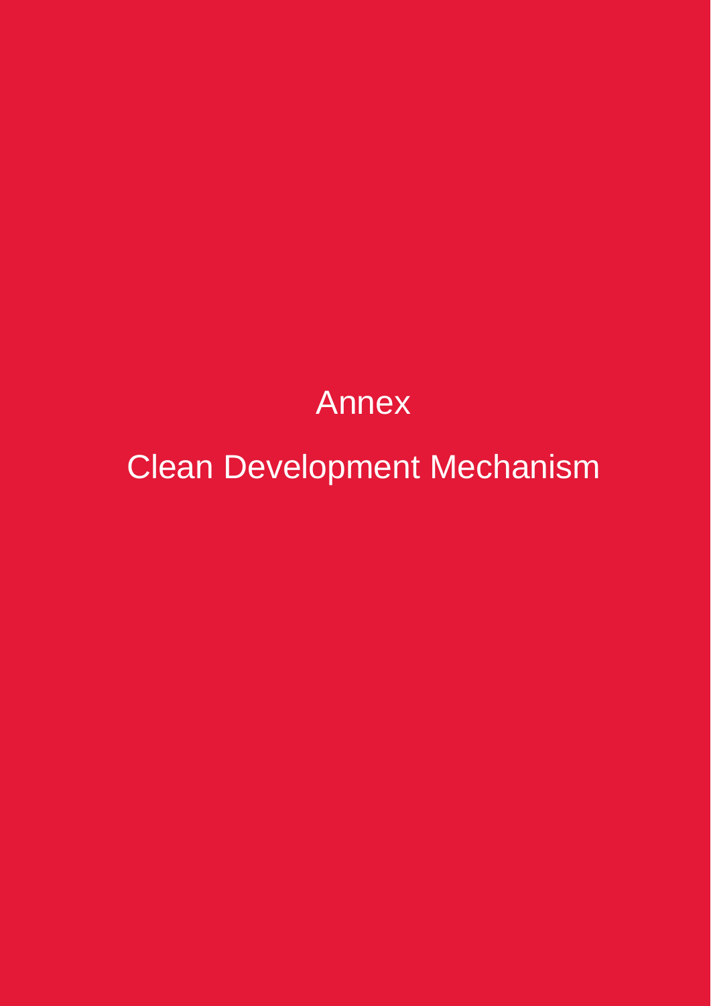# Annex

Clean Development Mechanism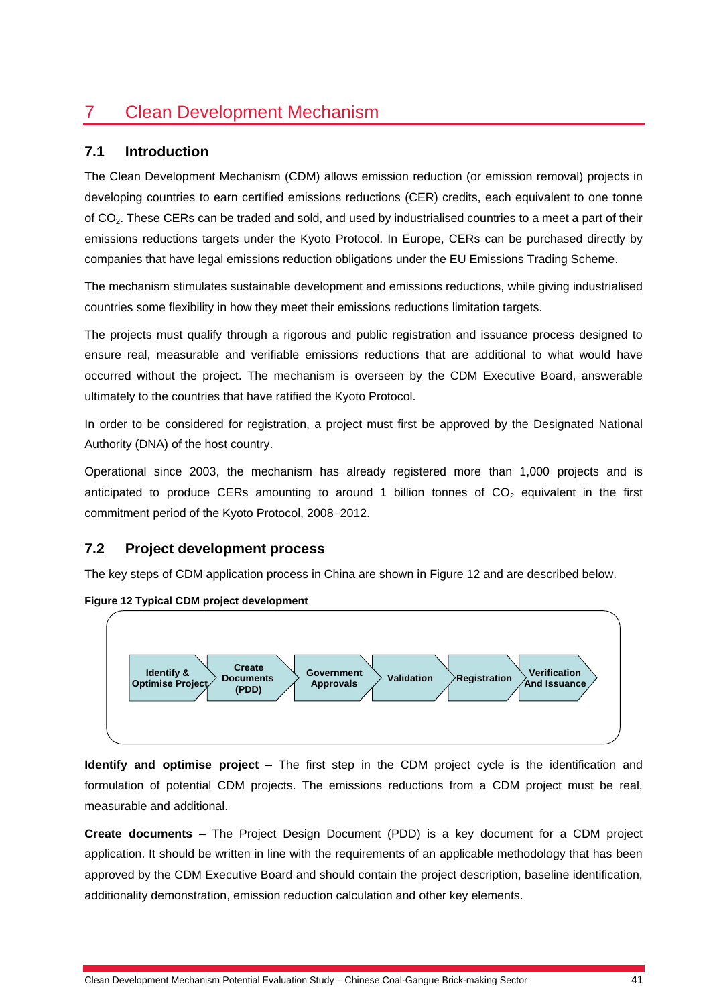# 7 Clean Development Mechanism

# **7.1 Introduction**

The Clean Development Mechanism (CDM) allows emission reduction (or emission removal) projects in developing countries to earn certified emissions reductions (CER) credits, each equivalent to one tonne of CO<sub>2</sub>. These CERs can be traded and sold, and used by industrialised countries to a meet a part of their emissions reductions targets under the Kyoto Protocol. In Europe, CERs can be purchased directly by companies that have legal emissions reduction obligations under the EU Emissions Trading Scheme.

The mechanism stimulates sustainable development and emissions reductions, while giving industrialised countries some flexibility in how they meet their emissions reductions limitation targets.

The projects must qualify through a rigorous and public registration and issuance process designed to ensure real, measurable and verifiable emissions reductions that are additional to what would have occurred without the project. The mechanism is overseen by the CDM Executive Board, answerable ultimately to the countries that have ratified the Kyoto Protocol.

In order to be considered for registration, a project must first be approved by the Designated National Authority (DNA) of the host country.

Operational since 2003, the mechanism has already registered more than 1,000 projects and is anticipated to produce CERs amounting to around 1 billion tonnes of  $CO<sub>2</sub>$  equivalent in the first commitment period of the Kyoto Protocol, 2008–2012.

# **7.2 Project development process**

The key steps of CDM application process in China are shown in Figure 12 and are described below.





**Identify and optimise project** – The first step in the CDM project cycle is the identification and formulation of potential CDM projects. The emissions reductions from a CDM project must be real, measurable and additional.

**Create documents** – The Project Design Document (PDD) is a key document for a CDM project application. It should be written in line with the requirements of an applicable methodology that has been approved by the CDM Executive Board and should contain the project description, baseline identification, additionality demonstration, emission reduction calculation and other key elements.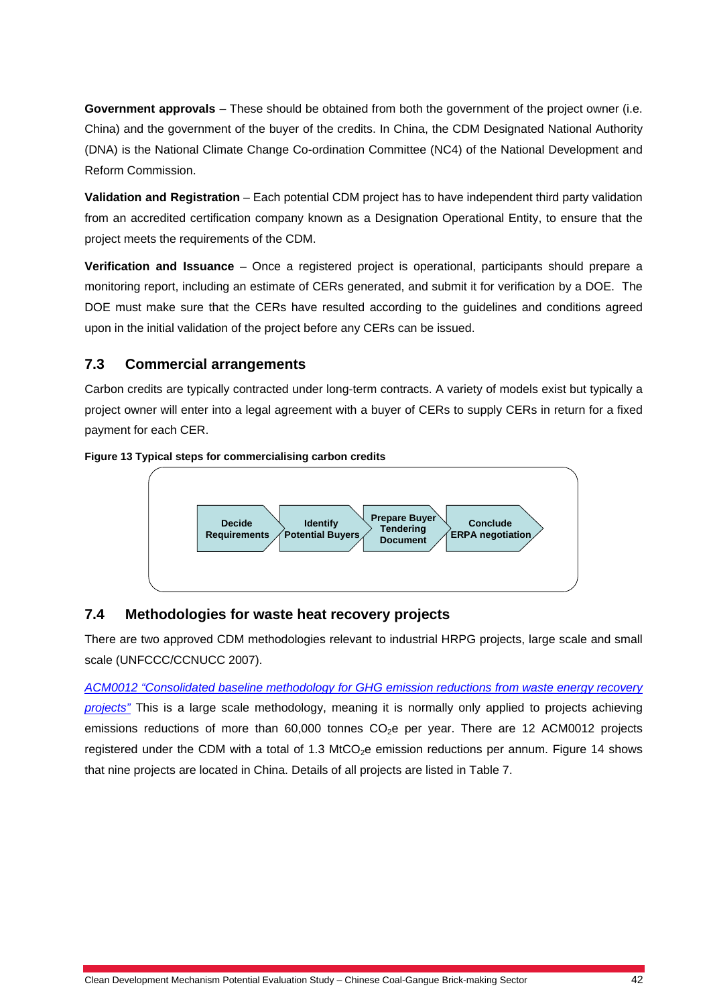**Government approvals** – These should be obtained from both the government of the project owner (i.e. China) and the government of the buyer of the credits. In China, the CDM Designated National Authority (DNA) is the National Climate Change Co-ordination Committee (NC4) of the National Development and Reform Commission.

**Validation and Registration** – Each potential CDM project has to have independent third party validation from an accredited certification company known as a Designation Operational Entity, to ensure that the project meets the requirements of the CDM.

**Verification and Issuance** – Once a registered project is operational, participants should prepare a monitoring report, including an estimate of CERs generated, and submit it for verification by a DOE. The DOE must make sure that the CERs have resulted according to the guidelines and conditions agreed upon in the initial validation of the project before any CERs can be issued.

# **7.3 Commercial arrangements**

Carbon credits are typically contracted under long-term contracts. A variety of models exist but typically a project owner will enter into a legal agreement with a buyer of CERs to supply CERs in return for a fixed payment for each CER.





# **7.4 Methodologies for waste heat recovery projects**

There are two approved CDM methodologies relevant to industrial HRPG projects, large scale and small scale (UNFCCC/CCNUCC 2007).

*ACM0012 "Consolidated baseline methodology for GHG emission reductions from waste energy recovery projects"* This is a large scale methodology, meaning it is normally only applied to projects achieving emissions reductions of more than  $60,000$  tonnes  $CO<sub>2</sub>e$  per year. There are 12 ACM0012 projects registered under the CDM with a total of 1.3 MtCO<sub>2</sub>e emission reductions per annum. Figure 14 shows that nine projects are located in China. Details of all projects are listed in Table 7.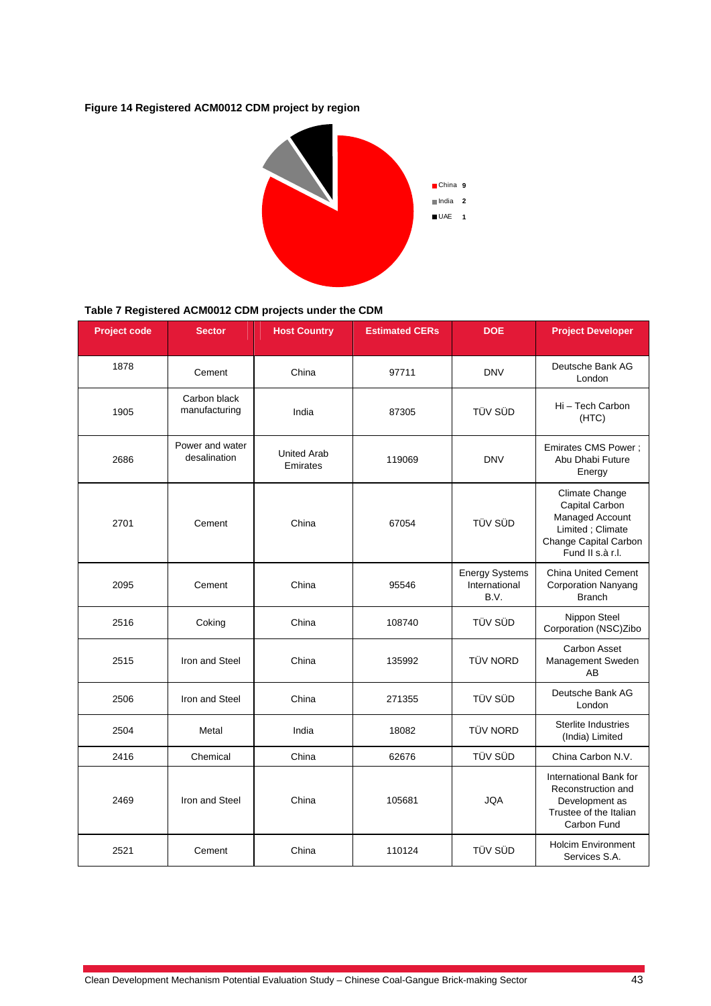#### **Figure 14 Registered ACM0012 CDM project by region**



#### **Table 7 Registered ACM0012 CDM projects under the CDM**

| <b>Project code</b> | <b>Sector</b>                   | <b>Host Country</b>            | <b>Estimated CERs</b> | <b>DOE</b>                                     | <b>Project Developer</b>                                                                                             |
|---------------------|---------------------------------|--------------------------------|-----------------------|------------------------------------------------|----------------------------------------------------------------------------------------------------------------------|
| 1878                | Cement                          | China                          | 97711                 | <b>DNV</b>                                     | Deutsche Bank AG<br>London                                                                                           |
| 1905                | Carbon black<br>manufacturing   | India                          | 87305                 | TÜV SÜD                                        | Hi - Tech Carbon<br>(HTC)                                                                                            |
| 2686                | Power and water<br>desalination | <b>United Arab</b><br>Emirates | 119069                | <b>DNV</b>                                     | Emirates CMS Power;<br>Abu Dhabi Future<br>Energy                                                                    |
| 2701                | Cement                          | China                          | 67054                 | TÜV SÜD                                        | Climate Change<br>Capital Carbon<br>Managed Account<br>Limited; Climate<br>Change Capital Carbon<br>Fund II s.à r.l. |
| 2095                | Cement                          | China                          | 95546                 | <b>Energy Systems</b><br>International<br>B.V. | <b>China United Cement</b><br><b>Corporation Nanyang</b><br><b>Branch</b>                                            |
| 2516                | Coking                          | China                          | 108740                | TÜV SÜD                                        | Nippon Steel<br>Corporation (NSC)Zibo                                                                                |
| 2515                | Iron and Steel                  | China                          | 135992                | <b>TÜV NORD</b>                                | Carbon Asset<br>Management Sweden<br>AB                                                                              |
| 2506                | Iron and Steel                  | China                          | 271355                | TÜV SÜD                                        | Deutsche Bank AG<br>London                                                                                           |
| 2504                | Metal                           | India                          | 18082                 | <b>TÜV NORD</b>                                | <b>Sterlite Industries</b><br>(India) Limited                                                                        |
| 2416                | Chemical                        | China                          | 62676                 | TÜV SÜD                                        | China Carbon N.V.                                                                                                    |
| 2469                | Iron and Steel                  | China                          | 105681                | <b>JQA</b>                                     | International Bank for<br>Reconstruction and<br>Development as<br>Trustee of the Italian<br>Carbon Fund              |
| 2521                | Cement                          | China                          | 110124                | TÜV SÜD                                        | <b>Holcim Environment</b><br>Services S.A.                                                                           |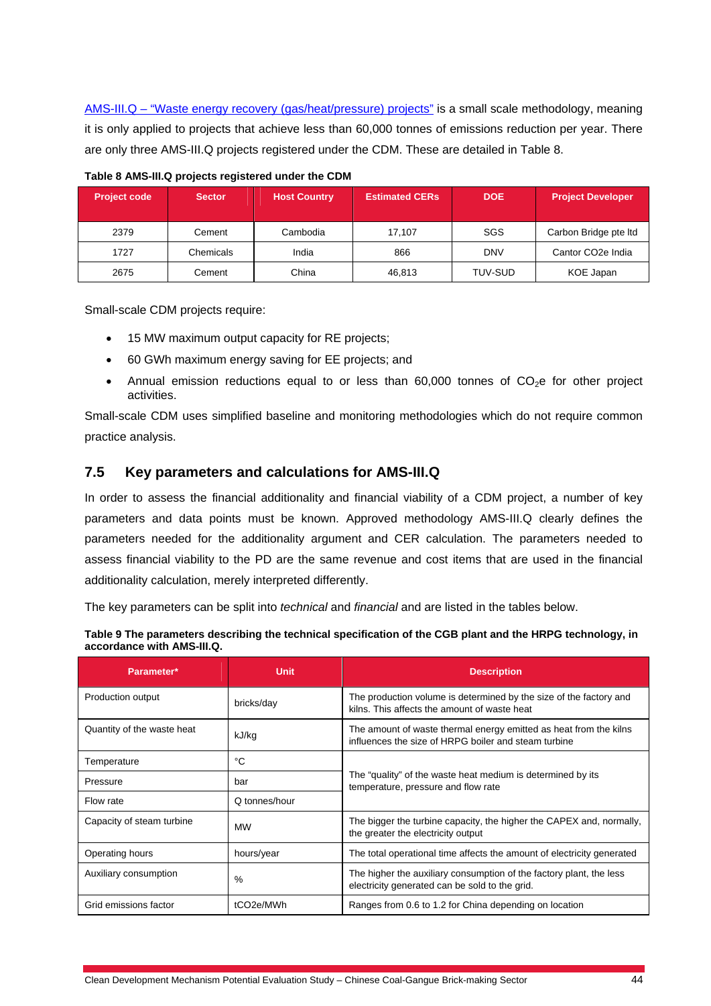AMS-III.Q - "Waste energy recovery (gas/heat/pressure) projects" is a small scale methodology, meaning it is only applied to projects that achieve less than 60,000 tonnes of emissions reduction per year. There are only three AMS-III.Q projects registered under the CDM. These are detailed in Table 8.

| <b>Project code</b> | <b>Sector</b> | <b>Host Country</b> | <b>Estimated CERs</b> | <b>DOE</b>     | <b>Project Developer</b>       |
|---------------------|---------------|---------------------|-----------------------|----------------|--------------------------------|
| 2379                | Cement        | Cambodia            | 17.107                | SGS            | Carbon Bridge pte Itd          |
| 1727                | Chemicals     | India               | 866                   | <b>DNV</b>     | Cantor CO <sub>2</sub> e India |
| 2675                | Cement        | China               | 46,813                | <b>TUV-SUD</b> | KOE Japan                      |

**Table 8 AMS-III.Q projects registered under the CDM** 

Small-scale CDM projects require:

- 15 MW maximum output capacity for RE projects;
- 60 GWh maximum energy saving for EE projects; and
- Annual emission reductions equal to or less than  $60,000$  tonnes of  $CO<sub>2</sub>e$  for other project activities.

Small-scale CDM uses simplified baseline and monitoring methodologies which do not require common practice analysis.

#### **7.5 Key parameters and calculations for AMS-III.Q**

In order to assess the financial additionality and financial viability of a CDM project, a number of key parameters and data points must be known. Approved methodology AMS-III.Q clearly defines the parameters needed for the additionality argument and CER calculation. The parameters needed to assess financial viability to the PD are the same revenue and cost items that are used in the financial additionality calculation, merely interpreted differently.

The key parameters can be split into *technical* and *financial* and are listed in the tables below.

| Table 9 The parameters describing the technical specification of the CGB plant and the HRPG technology, in |
|------------------------------------------------------------------------------------------------------------|
| accordance with AMS-III.Q.                                                                                 |

| Parameter*                 | <b>Unit</b>            | <b>Description</b>                                                                                                        |  |  |
|----------------------------|------------------------|---------------------------------------------------------------------------------------------------------------------------|--|--|
| Production output          | bricks/day             | The production volume is determined by the size of the factory and<br>kilns. This affects the amount of waste heat        |  |  |
| Quantity of the waste heat | kJ/kg                  | The amount of waste thermal energy emitted as heat from the kilns<br>influences the size of HRPG boiler and steam turbine |  |  |
| Temperature                | °C                     |                                                                                                                           |  |  |
| Pressure                   | bar                    | The "quality" of the waste heat medium is determined by its<br>temperature, pressure and flow rate                        |  |  |
| Flow rate                  | Q tonnes/hour          |                                                                                                                           |  |  |
| Capacity of steam turbine  | <b>MW</b>              | The bigger the turbine capacity, the higher the CAPEX and, normally,<br>the greater the electricity output                |  |  |
| Operating hours            | hours/year             | The total operational time affects the amount of electricity generated                                                    |  |  |
| Auxiliary consumption      | $\frac{9}{6}$          | The higher the auxiliary consumption of the factory plant, the less<br>electricity generated can be sold to the grid.     |  |  |
| Grid emissions factor      | tCO <sub>2</sub> e/MWh | Ranges from 0.6 to 1.2 for China depending on location                                                                    |  |  |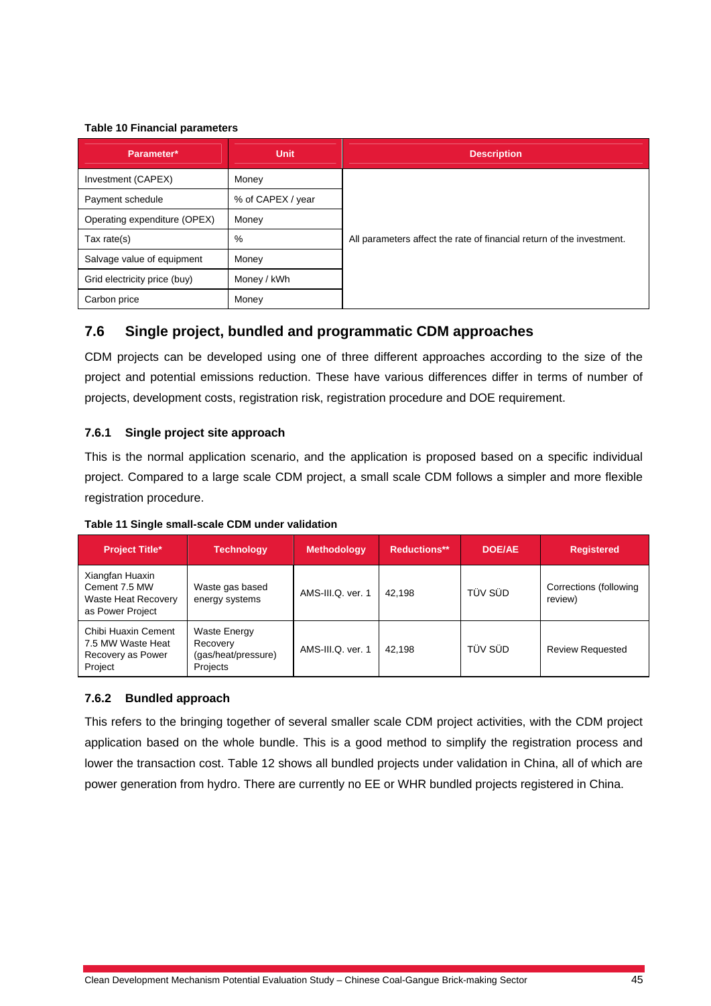#### **Table 10 Financial parameters**

| Parameter*                   | <b>Unit</b>       | <b>Description</b>                                                    |
|------------------------------|-------------------|-----------------------------------------------------------------------|
| Investment (CAPEX)           | Money             |                                                                       |
| Payment schedule             | % of CAPEX / year |                                                                       |
| Operating expenditure (OPEX) | Money             |                                                                       |
| Tax rate $(s)$               | %                 | All parameters affect the rate of financial return of the investment. |
| Salvage value of equipment   | Money             |                                                                       |
| Grid electricity price (buy) | Money / kWh       |                                                                       |
| Carbon price                 | Money             |                                                                       |

# **7.6 Single project, bundled and programmatic CDM approaches**

CDM projects can be developed using one of three different approaches according to the size of the project and potential emissions reduction. These have various differences differ in terms of number of projects, development costs, registration risk, registration procedure and DOE requirement.

#### **7.6.1 Single project site approach**

This is the normal application scenario, and the application is proposed based on a specific individual project. Compared to a large scale CDM project, a small scale CDM follows a simpler and more flexible registration procedure.

| <b>Project Title*</b>                                                              | Technology                                                         | <b>Methodology</b> | <b>Reductions**</b> | <b>DOE/AE</b> | <b>Registered</b>                 |
|------------------------------------------------------------------------------------|--------------------------------------------------------------------|--------------------|---------------------|---------------|-----------------------------------|
| Xiangfan Huaxin<br>Cement 7.5 MW<br><b>Waste Heat Recovery</b><br>as Power Project | Waste gas based<br>energy systems                                  | AMS-III.Q. ver. 1  | 42.198              | TÜV SÜD       | Corrections (following<br>review) |
| Chibi Huaxin Cement<br>7.5 MW Waste Heat<br>Recovery as Power<br>Project           | <b>Waste Energy</b><br>Recovery<br>(gas/heat/pressure)<br>Projects | AMS-III.Q. ver. 1  | 42.198              | TÜV SÜD       | <b>Review Requested</b>           |

#### **7.6.2 Bundled approach**

This refers to the bringing together of several smaller scale CDM project activities, with the CDM project application based on the whole bundle. This is a good method to simplify the registration process and lower the transaction cost. Table 12 shows all bundled projects under validation in China, all of which are power generation from hydro. There are currently no EE or WHR bundled projects registered in China.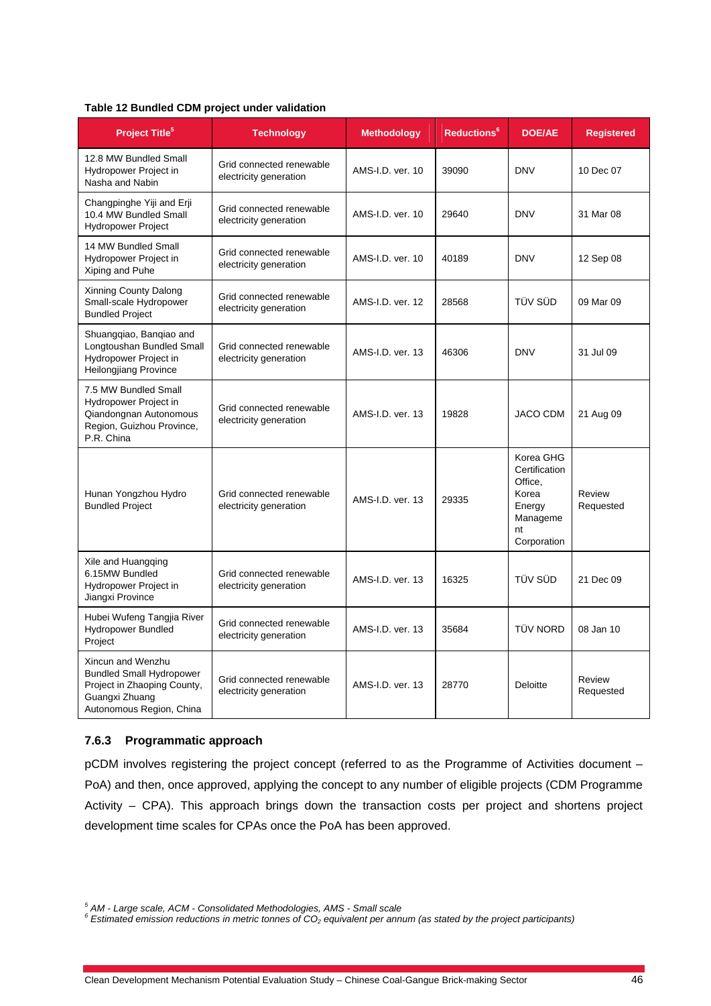#### **Table 12 Bundled CDM project under validation**

| <b>Project Title<sup>5</sup></b>                                                                                                  | <b>Technology</b>                                  | <b>Methodology</b> | <b>Reductions</b> <sup>6</sup> | <b>DOE/AE</b>                                                                             | <b>Registered</b>   |
|-----------------------------------------------------------------------------------------------------------------------------------|----------------------------------------------------|--------------------|--------------------------------|-------------------------------------------------------------------------------------------|---------------------|
| 12.8 MW Bundled Small<br>Hydropower Project in<br>Nasha and Nabin                                                                 | Grid connected renewable<br>electricity generation | AMS-I.D. ver. 10   | 39090                          | <b>DNV</b>                                                                                | 10 Dec 07           |
| Changpinghe Yiji and Erji<br>10.4 MW Bundled Small<br><b>Hydropower Project</b>                                                   | Grid connected renewable<br>electricity generation | AMS-I.D. ver. 10   | 29640                          | <b>DNV</b>                                                                                | 31 Mar 08           |
| 14 MW Bundled Small<br>Hydropower Project in<br>Xiping and Puhe                                                                   | Grid connected renewable<br>electricity generation | AMS-I.D. ver. 10   | 40189                          | <b>DNV</b>                                                                                | 12 Sep 08           |
| Xinning County Dalong<br>Small-scale Hydropower<br><b>Bundled Project</b>                                                         | Grid connected renewable<br>electricity generation | AMS-I.D. ver. 12   | 28568                          | TÜV SÜD                                                                                   | 09 Mar 09           |
| Shuangqiao, Banqiao and<br>Longtoushan Bundled Small<br>Hydropower Project in<br><b>Heilongjiang Province</b>                     | Grid connected renewable<br>electricity generation | AMS-I.D. ver. 13   | 46306                          | <b>DNV</b>                                                                                | 31 Jul 09           |
| 7.5 MW Bundled Small<br>Hydropower Project in<br>Qiandongnan Autonomous<br>Region, Guizhou Province,<br>P.R. China                | Grid connected renewable<br>electricity generation | AMS-I.D. ver. 13   | 19828                          | <b>JACO CDM</b>                                                                           | 21 Aug 09           |
| Hunan Yongzhou Hydro<br><b>Bundled Project</b>                                                                                    | Grid connected renewable<br>electricity generation | AMS-I.D. ver. 13   | 29335                          | Korea GHG<br>Certification<br>Office.<br>Korea<br>Energy<br>Manageme<br>nt<br>Corporation | Review<br>Requested |
| Xile and Huangqing<br>6.15MW Bundled<br>Hydropower Project in<br>Jiangxi Province                                                 | Grid connected renewable<br>electricity generation | AMS-I.D. ver. 13   | 16325                          | <b>TÜV SÜD</b>                                                                            | 21 Dec 09           |
| Hubei Wufeng Tangjia River<br><b>Hydropower Bundled</b><br>Project                                                                | Grid connected renewable<br>electricity generation | AMS-I.D. ver. 13   | 35684                          | <b>TÜV NORD</b>                                                                           | 08 Jan 10           |
| Xincun and Wenzhu<br><b>Bundled Small Hydropower</b><br>Project in Zhaoping County,<br>Guangxi Zhuang<br>Autonomous Region, China | Grid connected renewable<br>electricity generation | AMS-I.D. ver. 13   | 28770                          | Deloitte                                                                                  | Review<br>Requested |

#### **7.6.3 Programmatic approach**

pCDM involves registering the project concept (referred to as the Programme of Activities document – PoA) and then, once approved, applying the concept to any number of eligible projects (CDM Programme Activity – CPA). This approach brings down the transaction costs per project and shortens project development time scales for CPAs once the PoA has been approved.

<sup>5</sup> AM - Large scale, ACM - Consolidated Methodologies, AMS - Small scale<br><sup>6</sup> Estimated emission reductions in metric tonnes of CO<sub>2</sub> equivalent per annum (as stated by the project participants)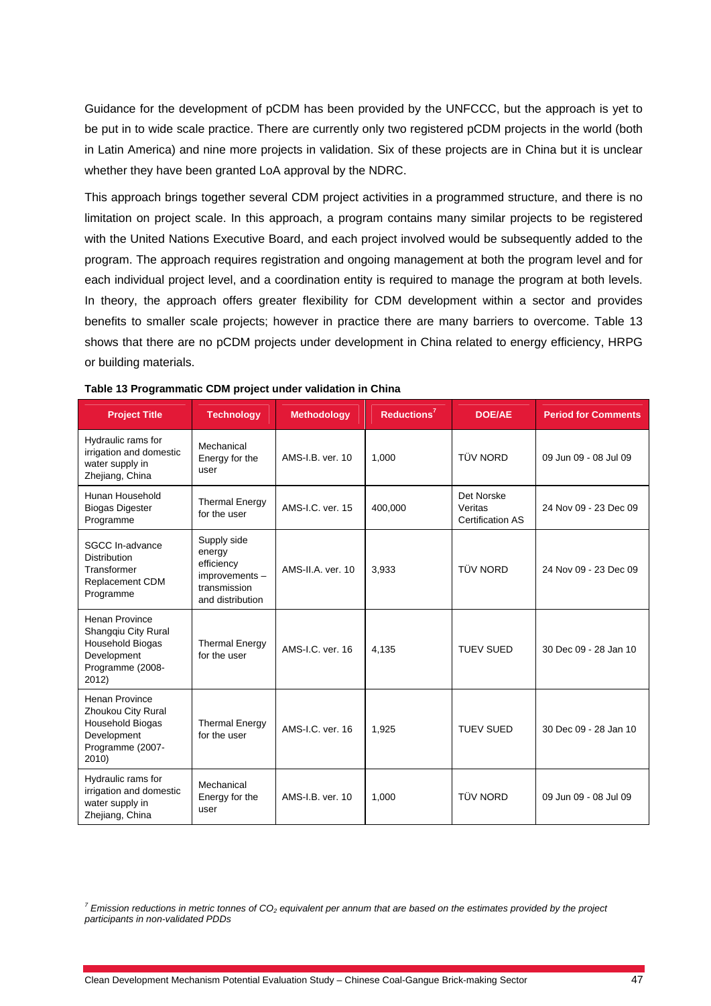Guidance for the development of pCDM has been provided by the UNFCCC, but the approach is yet to be put in to wide scale practice. There are currently only two registered pCDM projects in the world (both in Latin America) and nine more projects in validation. Six of these projects are in China but it is unclear whether they have been granted LoA approval by the NDRC.

This approach brings together several CDM project activities in a programmed structure, and there is no limitation on project scale. In this approach, a program contains many similar projects to be registered with the United Nations Executive Board, and each project involved would be subsequently added to the program. The approach requires registration and ongoing management at both the program level and for each individual project level, and a coordination entity is required to manage the program at both levels. In theory, the approach offers greater flexibility for CDM development within a sector and provides benefits to smaller scale projects; however in practice there are many barriers to overcome. Table 13 shows that there are no pCDM projects under development in China related to energy efficiency, HRPG or building materials.

| <b>Project Title</b>                                                                                              | <b>Technology</b>                                                                        | <b>Methodology</b> | Reductions <sup>7</sup> | <b>DOE/AE</b>                                    | <b>Period for Comments</b> |
|-------------------------------------------------------------------------------------------------------------------|------------------------------------------------------------------------------------------|--------------------|-------------------------|--------------------------------------------------|----------------------------|
| Hydraulic rams for<br>irrigation and domestic<br>water supply in<br>Zhejiang, China                               | Mechanical<br>Energy for the<br>user                                                     | AMS-I.B. ver. 10   | 1.000                   | <b>TÜV NORD</b>                                  | 09 Jun 09 - 08 Jul 09      |
| Hunan Household<br><b>Biogas Digester</b><br>Programme                                                            | <b>Thermal Energy</b><br>for the user                                                    | AMS-I.C. ver. 15   | 400,000                 | Det Norske<br>Veritas<br><b>Certification AS</b> | 24 Nov 09 - 23 Dec 09      |
| SGCC In-advance<br><b>Distribution</b><br>Transformer<br>Replacement CDM<br>Programme                             | Supply side<br>energy<br>efficiency<br>improvements-<br>transmission<br>and distribution | AMS-II.A. ver. 10  | 3,933                   | TÜV NORD                                         | 24 Nov 09 - 23 Dec 09      |
| Henan Province<br>Shangqiu City Rural<br>Household Biogas<br>Development<br>Programme (2008-<br>2012)             | <b>Thermal Energy</b><br>for the user                                                    | AMS-I.C. ver. 16   | 4,135                   | <b>TUEV SUED</b>                                 | 30 Dec 09 - 28 Jan 10      |
| <b>Henan Province</b><br>Zhoukou City Rural<br><b>Household Biogas</b><br>Development<br>Programme (2007-<br>2010 | <b>Thermal Energy</b><br>for the user                                                    | AMS-I.C. ver. 16   | 1,925                   | <b>TUEV SUED</b>                                 | 30 Dec 09 - 28 Jan 10      |
| Hydraulic rams for<br>irrigation and domestic<br>water supply in<br>Zhejiang, China                               | Mechanical<br>Energy for the<br>user                                                     | AMS-I.B. ver. 10   | 1,000                   | TÜV NORD                                         | 09 Jun 09 - 08 Jul 09      |

| Table 13 Programmatic CDM project under validation in China |  |  |
|-------------------------------------------------------------|--|--|
|-------------------------------------------------------------|--|--|

*7 Emission reductions in metric tonnes of CO2 equivalent per annum that are based on the estimates provided by the project participants in non-validated PDDs*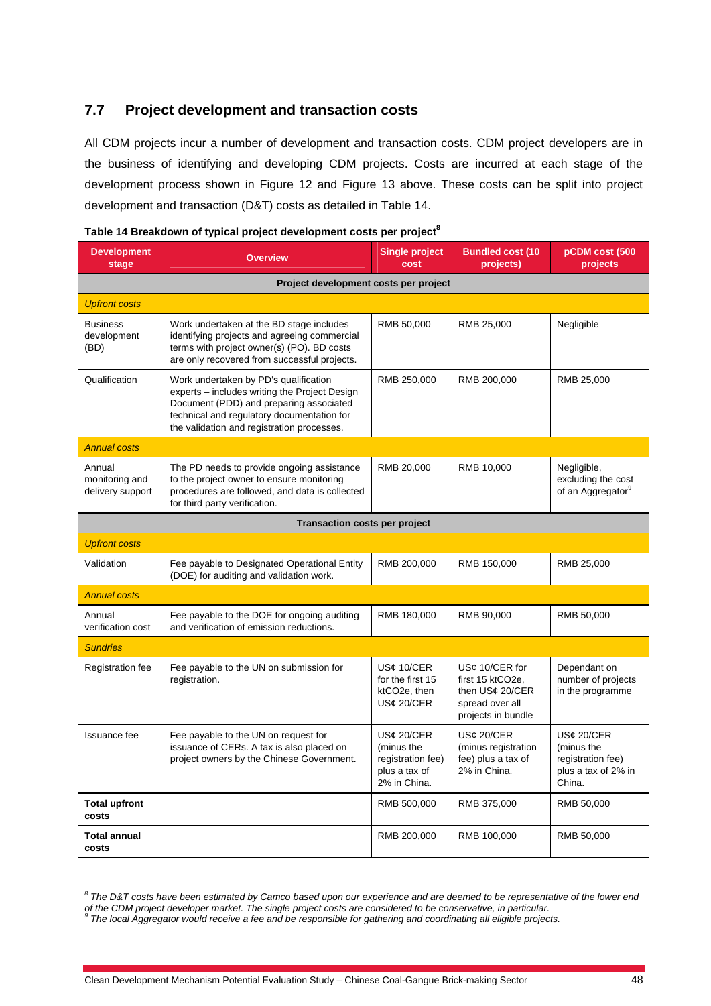# **7.7 Project development and transaction costs**

All CDM projects incur a number of development and transaction costs. CDM project developers are in the business of identifying and developing CDM projects. Costs are incurred at each stage of the development process shown in Figure 12 and Figure 13 above. These costs can be split into project development and transaction (D&T) costs as detailed in Table 14.

| <b>Development</b><br>stage                  | <b>Overview</b>                                                                                                                                                                                                               | <b>Single project</b><br>cost                                                  | <b>Bundled cost (10</b><br>projects)                                                           | pCDM cost (500<br>projects                                                     |  |  |  |
|----------------------------------------------|-------------------------------------------------------------------------------------------------------------------------------------------------------------------------------------------------------------------------------|--------------------------------------------------------------------------------|------------------------------------------------------------------------------------------------|--------------------------------------------------------------------------------|--|--|--|
| Project development costs per project        |                                                                                                                                                                                                                               |                                                                                |                                                                                                |                                                                                |  |  |  |
| <b>Upfront costs</b>                         |                                                                                                                                                                                                                               |                                                                                |                                                                                                |                                                                                |  |  |  |
| <b>Business</b><br>development<br>(BD)       | Work undertaken at the BD stage includes<br>identifying projects and agreeing commercial<br>terms with project owner(s) (PO). BD costs<br>are only recovered from successful projects.                                        | RMB 50,000                                                                     | RMB 25,000                                                                                     | Negligible                                                                     |  |  |  |
| Qualification                                | Work undertaken by PD's qualification<br>experts - includes writing the Project Design<br>Document (PDD) and preparing associated<br>technical and regulatory documentation for<br>the validation and registration processes. | RMB 250,000                                                                    | RMB 200,000                                                                                    | RMB 25,000                                                                     |  |  |  |
| <b>Annual costs</b>                          |                                                                                                                                                                                                                               |                                                                                |                                                                                                |                                                                                |  |  |  |
| Annual<br>monitoring and<br>delivery support | The PD needs to provide ongoing assistance<br>to the project owner to ensure monitoring<br>procedures are followed, and data is collected<br>for third party verification.                                                    | RMB 20,000                                                                     | RMB 10,000                                                                                     | Negligible,<br>excluding the cost<br>of an Aggregator <sup>9</sup>             |  |  |  |
| Transaction costs per project                |                                                                                                                                                                                                                               |                                                                                |                                                                                                |                                                                                |  |  |  |
| <b>Upfront costs</b>                         |                                                                                                                                                                                                                               |                                                                                |                                                                                                |                                                                                |  |  |  |
| Validation                                   | Fee payable to Designated Operational Entity<br>(DOE) for auditing and validation work.                                                                                                                                       | RMB 200,000                                                                    | RMB 150,000                                                                                    | RMB 25,000                                                                     |  |  |  |
| <b>Annual costs</b>                          |                                                                                                                                                                                                                               |                                                                                |                                                                                                |                                                                                |  |  |  |
| Annual<br>verification cost                  | Fee payable to the DOE for ongoing auditing<br>and verification of emission reductions.                                                                                                                                       | RMB 180,000                                                                    | RMB 90,000                                                                                     | RMB 50,000                                                                     |  |  |  |
| <b>Sundries</b>                              |                                                                                                                                                                                                                               |                                                                                |                                                                                                |                                                                                |  |  |  |
| Registration fee                             | Fee payable to the UN on submission for<br>registration.                                                                                                                                                                      | US¢ 10/CER<br>for the first 15<br>ktCO <sub>2</sub> e, then<br>US¢ 20/CER      | US¢ 10/CER for<br>first 15 ktCO2e,<br>then US¢ 20/CER<br>spread over all<br>projects in bundle | Dependant on<br>number of projects<br>in the programme                         |  |  |  |
| Issuance fee                                 | Fee payable to the UN on request for<br>issuance of CERs. A tax is also placed on<br>project owners by the Chinese Government.                                                                                                | US¢ 20/CER<br>(minus the<br>registration fee)<br>plus a tax of<br>2% in China. | <b>US¢ 20/CER</b><br>(minus registration<br>fee) plus a tax of<br>2% in China.                 | US¢ 20/CER<br>(minus the<br>registration fee)<br>plus a tax of 2% in<br>China. |  |  |  |
| <b>Total upfront</b><br>costs                |                                                                                                                                                                                                                               | RMB 500,000                                                                    | RMB 375,000                                                                                    | RMB 50,000                                                                     |  |  |  |
| Total annual<br>costs                        |                                                                                                                                                                                                                               | RMB 200,000                                                                    | RMB 100,000                                                                                    | RMB 50,000                                                                     |  |  |  |

|  | Table 14 Breakdown of typical project development costs per project $^8$ |  |  |  |
|--|--------------------------------------------------------------------------|--|--|--|
|--|--------------------------------------------------------------------------|--|--|--|

<sup>&</sup>lt;sup>8</sup> The D&T costs have been estimated by Camco based upon our experience and are deemed to be representative of the lower end of the CDM project developer market. The single project costs are considered to be conservative, in particular.<br><sup>9</sup> The local Aggregator would receive a fee and be responsible for gathering and coordinating all eligible pr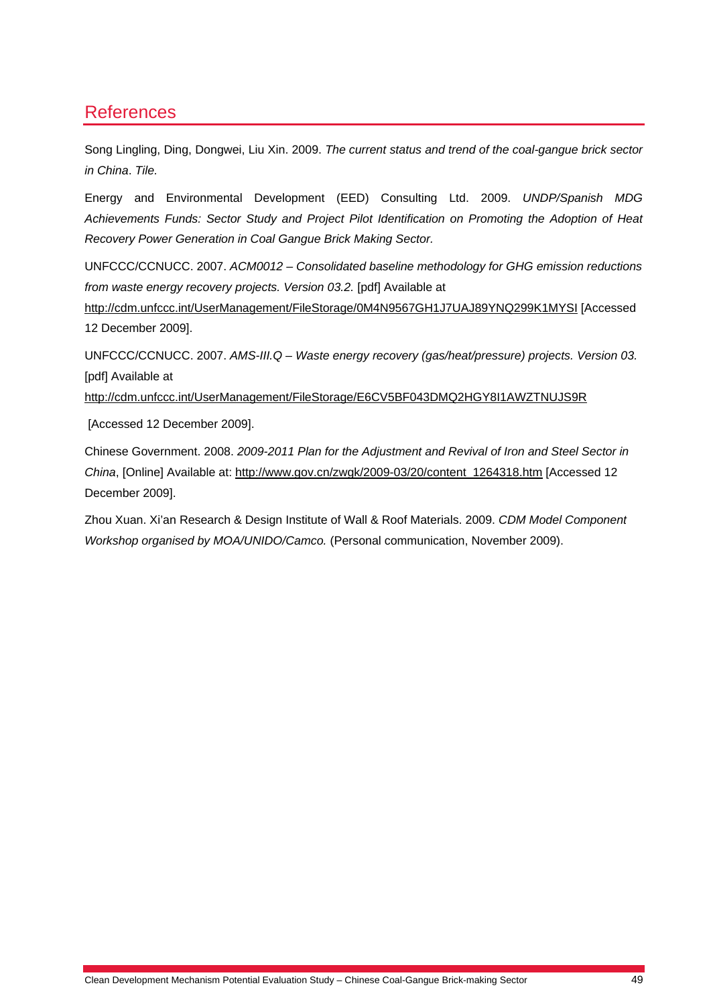# References

Song Lingling, Ding, Dongwei, Liu Xin. 2009. *The current status and trend of the coal-gangue brick sector in China*. *Tile.*

Energy and Environmental Development (EED) Consulting Ltd. 2009. *UNDP/Spanish MDG Achievements Funds: Sector Study and Project Pilot Identification on Promoting the Adoption of Heat Recovery Power Generation in Coal Gangue Brick Making Sector.* 

UNFCCC/CCNUCC. 2007. *ACM0012 – Consolidated baseline methodology for GHG emission reductions from waste energy recovery projects. Version 03.2.* [pdf] Available at

http://cdm.unfccc.int/UserManagement/FileStorage/0M4N9567GH1J7UAJ89YNQ299K1MYSI [Accessed 12 December 2009].

UNFCCC/CCNUCC. 2007. *AMS-III.Q – Waste energy recovery (gas/heat/pressure) projects. Version 03.*  [pdf] Available at

http://cdm.unfccc.int/UserManagement/FileStorage/E6CV5BF043DMQ2HGY8I1AWZTNUJS9R

[Accessed 12 December 2009].

Chinese Government. 2008. *2009-2011 Plan for the Adjustment and Revival of Iron and Steel Sector in China*, [Online] Available at: http://www.gov.cn/zwgk/2009-03/20/content\_1264318.htm [Accessed 12 December 2009].

Zhou Xuan. Xi'an Research & Design Institute of Wall & Roof Materials. 2009. *CDM Model Component Workshop organised by MOA/UNIDO/Camco.* (Personal communication, November 2009).